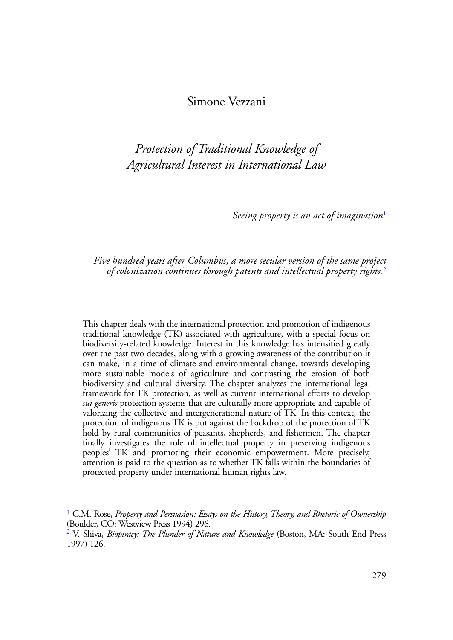## Simone Vezzani

*Protection of Traditional Knowledge of Agricultural Interest in International Law*

<span id="page-0-3"></span><span id="page-0-2"></span>*Seeing property is an act of imagination*[1](#page-0-0)

#### *Five hundred years after Columbus, a more secular version of the same project of colonization continues through patents and intellectual property rights.*[2](#page-0-1)

This chapter deals with the international protection and promotion of indigenous traditional knowledge (TK) associated with agriculture, with a special focus on biodiversity-related knowledge. Interest in this knowledge has intensified greatly over the past two decades, along with a growing awareness of the contribution it can make, in a time of climate and environmental change, towards developing more sustainable models of agriculture and contrasting the erosion of both biodiversity and cultural diversity. The chapter analyzes the international legal framework for TK protection, as well as current international efforts to develop *sui generis* protection systems that are culturally more appropriate and capable of valorizing the collective and intergenerational nature of TK. In this context, the protection of indigenous TK is put against the backdrop of the protection of TK hold by rural communities of peasants, shepherds, and fishermen. The chapter finally investigates the role of intellectual property in preserving indigenous peoples' TK and promoting their economic empowerment. More precisely, attention is paid to the question as to whether TK falls within the boundaries of protected property under international human rights law.

<span id="page-0-0"></span>[<sup>1</sup>](#page-0-2) C.M. Rose, *Property and Persuasion: Essays on the History, Theory, and Rhetoric of Ownership* (Boulder, CO: Westview Press 1994) 296.

<span id="page-0-1"></span>[<sup>2</sup>](#page-0-3) V. Shiva, *Biopiracy: The Plunder of Nature and Knowledge* (Boston, MA: South End Press 1997) 126.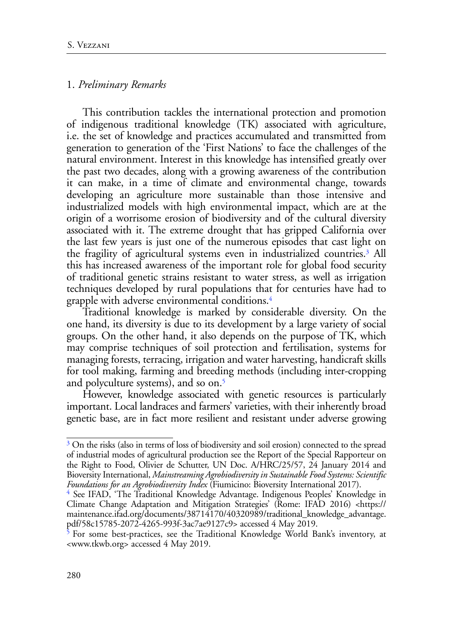## 1. *Preliminary Remarks*

This contribution tackles the international protection and promotion of indigenous traditional knowledge (TK) associated with agriculture, i.e. the set of knowledge and practices accumulated and transmitted from generation to generation of the 'First Nations' to face the challenges of the natural environment. Interest in this knowledge has intensified greatly over the past two decades, along with a growing awareness of the contribution it can make, in a time of climate and environmental change, towards developing an agriculture more sustainable than those intensive and industrialized models with high environmental impact, which are at the origin of a worrisome erosion of biodiversity and of the cultural diversity associated with it. The extreme drought that has gripped California over the last few years is just one of the numerous episodes that cast light on the fragility of agricultural systems even in industrialized countries[.3](#page-1-0) All this has increased awareness of the important role for global food security of traditional genetic strains resistant to water stress, as well as irrigation techniques developed by rural populations that for centuries have had to grapple with adverse environmental conditions[.4](#page-1-1)

<span id="page-1-4"></span><span id="page-1-3"></span>Traditional knowledge is marked by considerable diversity. On the one hand, its diversity is due to its development by a large variety of social groups. On the other hand, it also depends on the purpose of TK, which may comprise techniques of soil protection and fertilisation, systems for managing forests, terracing, irrigation and water harvesting, handicraft skills for tool making, farming and breeding methods (including inter-cropping and polyculture systems), and so on.<sup>5</sup>

<span id="page-1-5"></span>However, knowledge associated with genetic resources is particularly important. Local landraces and farmers' varieties, with their inherently broad genetic base, are in fact more resilient and resistant under adverse growing

<span id="page-1-0"></span><sup>&</sup>lt;sup>[3](#page-1-3)</sup> On the risks (also in terms of loss of biodiversity and soil erosion) connected to the spread of industrial modes of agricultural production see the Report of the Special Rapporteur on the Right to Food, Olivier de Schutter, UN Doc. A/HRC/25/57, 24 January 2014 and Bioversity International, *Mainstreaming Agrobiodiversity in Sustainable Food Systems: Scientific Foundations for an Agrobiodiversity Index* (Fiumicino: Bioversity International 2017).

<span id="page-1-1"></span><sup>&</sup>lt;sup>[4](#page-1-4)</sup> See IFAD, 'The Traditional Knowledge Advantage. Indigenous Peoples' Knowledge in Climate Change Adaptation and Mitigation Strategies' (Rome: IFAD 2016) <https:// maintenance.ifad.org/documents/38714170/40320989/traditional\_knowledge\_advantage. pdf/58c15785-2072-4265-993f-3ac7ae9127c9> accessed 4 May 2019.

<span id="page-1-2"></span><sup>&</sup>lt;sup>5</sup> For some best-practices, see the Traditional Knowledge World Bank's inventory, at <www.tkwb.org> accessed 4 May 2019.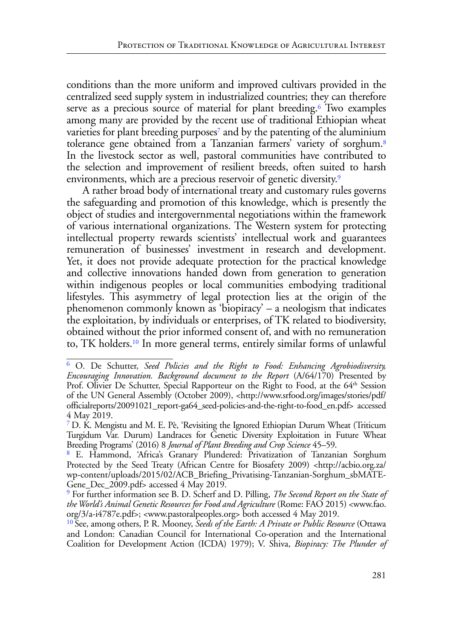<span id="page-2-6"></span><span id="page-2-5"></span>conditions than the more uniform and improved cultivars provided in the centralized seed supply system in industrialized countries; they can therefore serve as a precious source of material for plant breeding.<sup>6</sup> Two examples among many are provided by the recent use of traditional Ethiopian wheat varieties for plant breeding purposes<sup>7</sup> and by the patenting of the aluminium tolerance gene obtained from a Tanzanian farmers' variety of sorghum.[8](#page-2-2) In the livestock sector as well, pastoral communities have contributed to the selection and improvement of resilient breeds, often suited to harsh environments, which are a precious reservoir of genetic diversity.<sup>9</sup>

<span id="page-2-8"></span><span id="page-2-7"></span>A rather broad body of international treaty and customary rules governs the safeguarding and promotion of this knowledge, which is presently the object of studies and intergovernmental negotiations within the framework of various international organizations. The Western system for protecting intellectual property rewards scientists' intellectual work and guarantees remuneration of businesses' investment in research and development. Yet, it does not provide adequate protection for the practical knowledge and collective innovations handed down from generation to generation within indigenous peoples or local communities embodying traditional lifestyles. This asymmetry of legal protection lies at the origin of the phenomenon commonly known as 'biopiracy' – a neologism that indicates the exploitation, by individuals or enterprises, of TK related to biodiversity, obtained without the prior informed consent of, and with no remuneration to, TK holders.[10](#page-2-4) In more general terms, entirely similar forms of unlawful

<span id="page-2-9"></span><span id="page-2-0"></span>[<sup>6</sup>](#page-2-5) O. De Schutter, *Seed Policies and the Right to Food: Enhancing Agrobiodiversity, Encouraging Innovation. Background document to the Report* (A/64/170) Presented by Prof. Olivier De Schutter, Special Rapporteur on the Right to Food, at the 64<sup>th</sup> Session of the UN General Assembly (October 2009), <http://www.srfood.org/images/stories/pdf/ officialreports/20091021\_report-ga64\_seed-policies-and-the-right-to-food\_en.pdf> accessed 4 May 2019.

<span id="page-2-1"></span>[<sup>7</sup>](#page-2-6) D. K. Mengistu and M. E. Pè, 'Revisiting the Ignored Ethiopian Durum Wheat (Triticum Turgidum Var. Durum) Landraces for Genetic Diversity Exploitation in Future Wheat Breeding Programs' (2016) 8 *Journal of Plant Breeding and Crop Science* 45–59.

<span id="page-2-2"></span>[<sup>8</sup>](#page-2-7) E. Hammond, 'Africa's Granary Plundered: Privatization of Tanzanian Sorghum Protected by the Seed Treaty (African Centre for Biosafety 2009) <http://acbio.org.za/ wp-content/uploads/2015/02/ACB\_Briefing\_Privatising-Tanzanian-Sorghum\_sbMATE-Gene\_Dec\_2009.pdf> accessed 4 May 2019.

<span id="page-2-3"></span>[<sup>9</sup>](#page-2-8) For further information see B. D. Scherf and D. Pilling, *The Second Report on the State of the World's Animal Genetic Resources for Food and Agriculture* (Rome: FAO 2015) <www.fao. org/3/a-i4787e.pdf>; <www.pastoralpeoples.org> both accessed 4 May 2019.

<span id="page-2-4"></span>[<sup>10</sup>](#page-2-9) See, among others, P. R. Mooney, *Seeds of the Earth: A Private or Public Resource* (Ottawa and London: Canadian Council for International Co-operation and the International Coalition for Development Action (ICDA) 1979); V. Shiva, *Biopiracy: The Plunder of*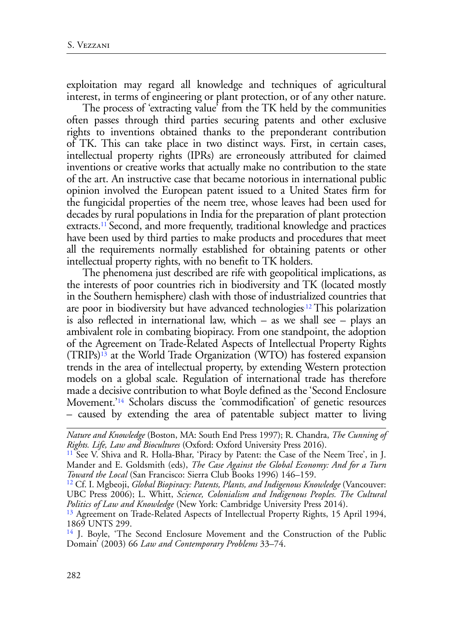exploitation may regard all knowledge and techniques of agricultural interest, in terms of engineering or plant protection, or of any other nature.

The process of 'extracting value' from the TK held by the communities often passes through third parties securing patents and other exclusive rights to inventions obtained thanks to the preponderant contribution of TK. This can take place in two distinct ways. First, in certain cases, intellectual property rights (IPRs) are erroneously attributed for claimed inventions or creative works that actually make no contribution to the state of the art. An instructive case that became notorious in international public opinion involved the European patent issued to a United States firm for the fungicidal properties of the neem tree, whose leaves had been used for decades by rural populations in India for the preparation of plant protection extracts.<sup>11</sup> Second, and more frequently, traditional knowledge and practices have been used by third parties to make products and procedures that meet all the requirements normally established for obtaining patents or other intellectual property rights, with no benefit to TK holders.

<span id="page-3-6"></span><span id="page-3-5"></span><span id="page-3-4"></span>The phenomena just described are rife with geopolitical implications, as the interests of poor countries rich in biodiversity and TK (located mostly in the Southern hemisphere) clash with those of industrialized countries that are poor in biodiversity but have advanced technologie[s.12 T](#page-3-1)his polarization is also reflected in international law, which – as we shall see – plays an ambivalent role in combating biopiracy. From one standpoint, the adoption of the Agreement on Trade-Related Aspects of Intellectual Property Rights  $(TRIPs)^{13}$  at the World Trade Organization (WTO) has fostered expansion trends in the area of intellectual property, by extending Western protection models on a global scale. Regulation of international trade has therefore made a decisive contribution to what Boyle defined as the 'Second Enclosure Movement.['14](#page-3-3) Scholars discuss the 'commodification' of genetic resources – caused by extending the area of patentable subject matter to living

<span id="page-3-7"></span>*Nature and Knowledge* (Boston, MA: South End Press 1997); R. Chandra, *The Cunning of* 

<span id="page-3-0"></span><sup>&</sup>lt;sup>11</sup> See V. Shiva and R. Holla-Bhar, 'Piracy by Patent: the Case of the Neem Tree', in J. Mander and E. Goldsmith (eds), *The Case Against the Global Economy: And for a Turn* 

<span id="page-3-1"></span><sup>&</sup>lt;sup>12</sup> Cf. I. Mgbeoji, *Global Biopiracy: Patents, Plants, and Indigenous Knowledge* (Vancouver: UBC Press 2006); L. Whitt, *Science, Colonialism and Indigenous Peoples. The Cultural Politics of Law and Knowledge* (New York: Cambridge University Press 2014).

<span id="page-3-2"></span><sup>&</sup>lt;sup>13</sup> Agreement on Trade-Related Aspects of Intellectual Property Rights, 15 April 1994, 1869 UNTS 299.

<span id="page-3-3"></span><sup>&</sup>lt;sup>14</sup> J. Boyle, 'The Second Enclosure Movement and the Construction of the Public Domain' (2003) 66 *Law and Contemporary Problems* 33–74.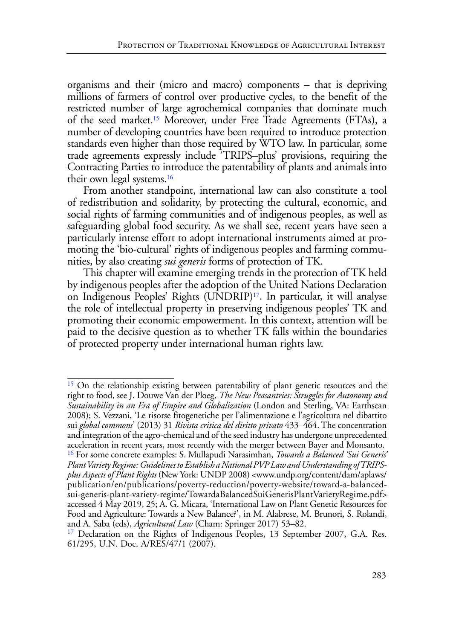<span id="page-4-3"></span>organisms and their (micro and macro) components – that is depriving millions of farmers of control over productive cycles, to the benefit of the restricted number of large agrochemical companies that dominate much of the seed market.[15](#page-4-0) Moreover, under Free Trade Agreements (FTAs), a number of developing countries have been required to introduce protection standards even higher than those required by WTO law. In particular, some trade agreements expressly include 'TRIPS–plus' provisions, requiring the Contracting Parties to introduce the patentability of plants and animals into their own legal systems[.16](#page-4-1)

<span id="page-4-4"></span>From another standpoint, international law can also constitute a tool of redistribution and solidarity, by protecting the cultural, economic, and social rights of farming communities and of indigenous peoples, as well as safeguarding global food security. As we shall see, recent years have seen a particularly intense effort to adopt international instruments aimed at promoting the 'bio-cultural' rights of indigenous peoples and farming communities, by also creating *sui generis* forms of protection of TK.

<span id="page-4-5"></span>This chapter will examine emerging trends in the protection of TK held by indigenous peoples after the adoption of the United Nations Declaration on Indigenous Peoples' Rights (UNDRIP[\)17](#page-4-2). In particular, it will analyse the role of intellectual property in preserving indigenous peoples' TK and promoting their economic empowerment. In this context, attention will be paid to the decisive question as to whether TK falls within the boundaries of protected property under international human rights law.

<span id="page-4-1"></span><span id="page-4-0"></span><sup>[15](#page-4-3)</sup> On the relationship existing between patentability of plant genetic resources and the right to food, see J. Douwe Van der Ploeg, *The New Peasantries: Struggles for Autonomy and Sustainability in an Era of Empire and Globalization* (London and Sterling, VA: Earthscan 2008); S. Vezzani, 'Le risorse fitogenetiche per l'alimentazione e l'agricoltura nel dibattito sui *global commons*' (2013) 31 *Rivista critica del diritto privato* 433–464. The concentration and integration of the agro-chemical and of the seed industry has undergone unprecedented acceleration in recent years, most recently with the merger between Bayer and Monsanto. [16](#page-4-4) For some concrete examples: S. Mullapudi Narasimhan, *Towards a Balanced 'Sui Generis' Plant Variety Regime: Guidelines to Establish a National PVP Law and Understanding of TRIPSplus Aspects of Plant Rights* (New York: UNDP 2008) <[www.undp.org/content/dam/aplaws/](http://www.undp.org/content/dam/aplaws/publication/en/publications/poverty-reduction/poverty-website/toward-a-balanced-sui-generis-plant-variety-regime/TowardaBalancedSuiGenerisPlantVarietyRegime.pdf) [publication/en/publications/poverty-reduction/poverty-website/toward-a-balanced](http://www.undp.org/content/dam/aplaws/publication/en/publications/poverty-reduction/poverty-website/toward-a-balanced-sui-generis-plant-variety-regime/TowardaBalancedSuiGenerisPlantVarietyRegime.pdf)[sui-generis-plant-variety-regime/TowardaBalancedSuiGenerisPlantVarietyRegime.pdf>](http://www.undp.org/content/dam/aplaws/publication/en/publications/poverty-reduction/poverty-website/toward-a-balanced-sui-generis-plant-variety-regime/TowardaBalancedSuiGenerisPlantVarietyRegime.pdf) accessed 4 May 2019, 25; A. G. Micara, 'International Law on Plant Genetic Resources for Food and Agriculture: Towards a New Balance?', in M. Alabrese, M. Brunori, S. Rolandi, and A. Saba (eds), *Agricultural Law* (Cham: Springer 2017) 53–82.

<span id="page-4-2"></span><sup>&</sup>lt;sup>17</sup> Declaration on the Rights of Indigenous Peoples, 13 September 2007, G.A. Res. 61/295, U.N. Doc. A/RES/47/1 (2007).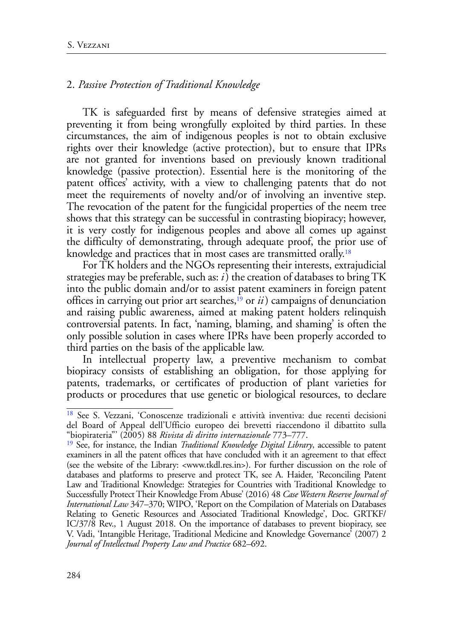### 2. *Passive Protection of Traditional Knowledge*

TK is safeguarded first by means of defensive strategies aimed at preventing it from being wrongfully exploited by third parties. In these circumstances, the aim of indigenous peoples is not to obtain exclusive rights over their knowledge (active protection), but to ensure that IPRs are not granted for inventions based on previously known traditional knowledge (passive protection). Essential here is the monitoring of the patent offices' activity, with a view to challenging patents that do not meet the requirements of novelty and/or of involving an inventive step. The revocation of the patent for the fungicidal properties of the neem tree shows that this strategy can be successful in contrasting biopiracy; however, it is very costly for indigenous peoples and above all comes up against the difficulty of demonstrating, through adequate proof, the prior use of knowledge and practices that in most cases are transmitted orally.<sup>18</sup>

<span id="page-5-3"></span><span id="page-5-2"></span>For TK holders and the NGOs representing their interests, extrajudicial strategies may be preferable, such as: *i*) the creation of databases to bring TK into the public domain and/or to assist patent examiners in foreign patent offices in carrying out prior art searches,[19](#page-5-1) or *ii*) campaigns of denunciation and raising public awareness, aimed at making patent holders relinquish controversial patents. In fact, 'naming, blaming, and shaming' is often the only possible solution in cases where IPRs have been properly accorded to third parties on the basis of the applicable law.

In intellectual property law, a preventive mechanism to combat biopiracy consists of establishing an obligation, for those applying for patents, trademarks, or certificates of production of plant varieties for products or procedures that use genetic or biological resources, to declare

<span id="page-5-0"></span>[<sup>18</sup>](#page-5-2) See S. Vezzani, 'Conoscenze tradizionali e attività inventiva: due recenti decisioni del Board of Appeal dell'Ufficio europeo dei brevetti riaccendono il dibattito sulla "biopirateria"' (2005) 88 *Rivista di diritto internazionale* 773–777.

<span id="page-5-1"></span>[<sup>19</sup>](#page-5-3) See, for instance, the Indian *Traditional Knowledge Digital Library*, accessible to patent examiners in all the patent offices that have concluded with it an agreement to that effect (see the website of the Library: <[www.tkdl.res.in>](http://www.tkdl.res.in)). For further discussion on the role of databases and platforms to preserve and protect TK, see A. Haider, 'Reconciling Patent Law and Traditional Knowledge: Strategies for Countries with Traditional Knowledge to Successfully Protect Their Knowledge From Abuse' (2016) 48 *Case Western Reserve Journal of International Law* 347–370; WIPO, 'Report on the Compilation of Materials on Databases Relating to Genetic Resources and Associated Traditional Knowledge', Doc. GRTKF/ IC/37/8 Rev., 1 August 2018. On the importance of databases to prevent biopiracy, see V. Vadi, 'Intangible Heritage, Traditional Medicine and Knowledge Governance' (2007) 2 *Journal of Intellectual Property Law and Practice* 682–692.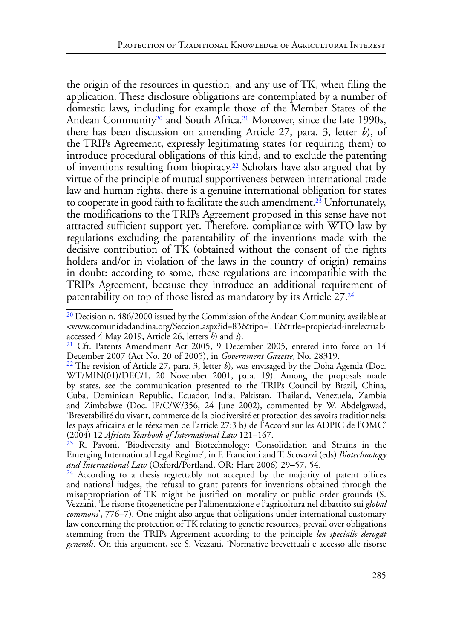<span id="page-6-7"></span><span id="page-6-6"></span><span id="page-6-5"></span>the origin of the resources in question, and any use of TK, when filing the application. These disclosure obligations are contemplated by a number of domestic laws, including for example those of the Member States of the Andean Community<sup>20</sup> and South Africa.<sup>[21](#page-6-1)</sup> Moreover, since the late 1990s, there has been discussion on amending Article 27, para. 3, letter *b*), of the TRIPs Agreement, expressly legitimating states (or requiring them) to introduce procedural obligations of this kind, and to exclude the patenting of inventions resulting from biopiracy[.22](#page-6-2) Scholars have also argued that by virtue of the principle of mutual supportiveness between international trade law and human rights, there is a genuine international obligation for states to cooperate in good faith to facilitate the such amendment.<sup>23</sup> Unfortunately, the modifications to the TRIPs Agreement proposed in this sense have not attracted sufficient support yet. Therefore, compliance with WTO law by regulations excluding the patentability of the inventions made with the decisive contribution of TK (obtained without the consent of the rights holders and/or in violation of the laws in the country of origin) remains in doubt: according to some, these regulations are incompatible with the TRIPs Agreement, because they introduce an additional requirement of patentability on top of those listed as mandatory by its Article 27[.24](#page-6-4)

<span id="page-6-8"></span><span id="page-6-0"></span> $20$  Decision n. 486/2000 issued by the Commission of the Andean Community, available at <www.comunidadandina.org/Seccion.aspx?id=83&tipo=TE&title=propiedad-intelectual>

<span id="page-6-1"></span>accessed 4 May 2019, Article 26, letters *h*) and *i*). [21](#page-6-5) Cfr. Patents Amendment Act 2005, 9 December 2005, entered into force on 14

<span id="page-6-2"></span>December 2007 (Act No. 20 of 2005), in *Government Gazette*, No. 28319. [22](#page-6-6) The revision of Article 27, para. 3, letter *b*), was envisaged by the Doha Agenda (Doc. WT/MIN(01)/DEC/1, 20 November 2001, para. 19). Among the proposals made by states, see the communication presented to the TRIPs Council by Brazil, China, Cuba, Dominican Republic, Ecuador, India, Pakistan, Thailand, Venezuela, Zambia and Zimbabwe (Doc. IP/C/W/356, 24 June 2002), commented by W. Abdelgawad, 'Brevetabilité du vivant, commerce de la biodiversité et protection des savoirs traditionnels: les pays africains et le réexamen de l'article 27:3 b) de l'Accord sur les ADPIC de l'OMC' (2004) 12 *African Yearbook of International Law* 121–167.

<span id="page-6-3"></span><sup>&</sup>lt;sup>23</sup> R. Pavoni, 'Biodiversity and Biotechnology: Consolidation and Strains in the Emerging International Legal Regime', in F. Francioni and T. Scovazzi (eds) *Biotechnology and International Law* (Oxford/Portland, OR: Hart 2006) 29–57, 54.

<span id="page-6-4"></span><sup>&</sup>lt;sup>24</sup> According to a thesis regrettably not accepted by the majority of patent offices and national judges, the refusal to grant patents for inventions obtained through the misappropriation of TK might be justified on morality or public order grounds (S. Vezzani, 'Le risorse fitogenetiche per l'alimentazione e l'agricoltura nel dibattito sui *global commons*', 776–7). One might also argue that obligations under international customary law concerning the protection of TK relating to genetic resources, prevail over obligations stemming from the TRIPs Agreement according to the principle *lex specialis derogat generali.* On this argument, see S. Vezzani, 'Normative brevettuali e accesso alle risorse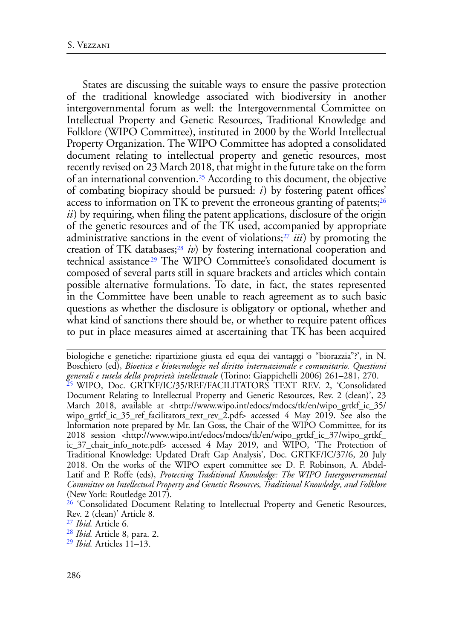<span id="page-7-6"></span><span id="page-7-5"></span>States are discussing the suitable ways to ensure the passive protection of the traditional knowledge associated with biodiversity in another intergovernmental forum as well: the Intergovernmental Committee on Intellectual Property and Genetic Resources, Traditional Knowledge and Folklore (WIPO Committee), instituted in 2000 by the World Intellectual Property Organization. The WIPO Committee has adopted a consolidated document relating to intellectual property and genetic resources, most recently revised on 23 March 2018, that might in the future take on the form of an international convention[.25](#page-7-0) According to this document, the objective of combating biopiracy should be pursued: *i*) by fostering patent offices' access to information on TK to prevent the erroneous granting of patents; $^{26}$ *ii*) by requiring, when filing the patent applications, disclosure of the origin of the genetic resources and of the TK used, accompanied by appropriate administrative sanctions in the event of violations[;27](#page-7-2) *iii*) by promoting the creation of TK databases[;28](#page-7-3) *iv*) by fostering international cooperation and technical assistance<sup>29</sup> The WIPO Committee's consolidated document is composed of several parts still in square brackets and articles which contain possible alternative formulations. To date, in fact, the states represented in the Committee have been unable to reach agreement as to such basic questions as whether the disclosure is obligatory or optional, whether and what kind of sanctions there should be, or whether to require patent offices to put in place measures aimed at ascertaining that TK has been acquired

<span id="page-7-9"></span><span id="page-7-8"></span><span id="page-7-7"></span>biologiche e genetiche: ripartizione giusta ed equa dei vantaggi o "biorazzia"?', in N. Boschiero (ed), *Bioetica e biotecnologie nel diritto internazionale e comunitario. Questioni generali e tutela della proprietà intellettuale* (Torino: Giappichelli 2006) 261–281, 270.

<span id="page-7-0"></span><sup>25</sup> WIPO, Doc. GRTKF/IC/35/REF/FACILITATORS TEXT REV. 2, 'Consolidated Document Relating to Intellectual Property and Genetic Resources, Rev. 2 (clean)', 23 March 2018, available at <http://www.wipo.int/edocs/mdocs/tk/en/wipo\_grtkf\_ic\_35/ wipo\_grtkf\_ic\_35\_ref\_facilitators\_text\_rev\_2.pdf> accessed 4 May 2019. See also the Information note prepared by Mr. Ian Goss, the Chair of the WIPO Committee, for its 2018 session <http://www.wipo.int/edocs/mdocs/tk/en/wipo\_grtkf\_ic\_37/wipo\_grtkf\_ ic\_37\_chair\_info\_note.pdf> accessed 4 May 2019, and WIPO, 'The Protection of Traditional Knowledge: Updated Draft Gap Analysis', Doc. GRTKF/IC/37/6, 20 July 2018. On the works of the WIPO expert committee see D. F. Robinson, A. Abdel-Latif and P. Roffe (eds), *Protecting Traditional Knowledge: The WIPO Intergovernmental Committee on Intellectual Property and Genetic Resources, Traditional Knowledge, and Folklore* (New York: Routledge 2017).

<span id="page-7-1"></span><sup>26</sup> 'Consolidated Document Relating to Intellectual Property and Genetic Resources, Rev. 2 (clean)' Article 8.

<span id="page-7-2"></span>[27](#page-7-7) *Ibid.* Article 6.

<span id="page-7-3"></span>[<sup>28</sup>](#page-7-8) *Ibid.* Article 8, para. 2.

<span id="page-7-4"></span>[<sup>29</sup>](#page-7-9) *Ibid.* Articles 11–13.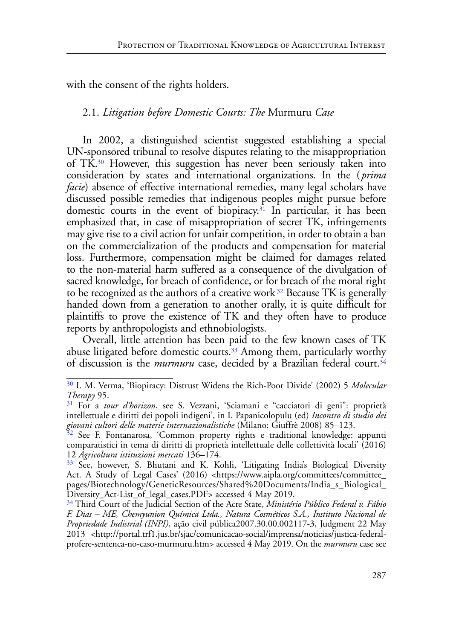with the consent of the rights holders.

### <span id="page-8-6"></span>2.1. *Litigation before Domestic Courts: The* Murmuru *Case*

<span id="page-8-5"></span>In 2002, a distinguished scientist suggested establishing a special UN-sponsored tribunal to resolve disputes relating to the misappropriation of TK.[30](#page-8-0) However, this suggestion has never been seriously taken into consideration by states and international organizations. In the ( *prima facie*) absence of effective international remedies, many legal scholars have discussed possible remedies that indigenous peoples might pursue before domestic courts in the event of biopiracy.<sup>31</sup> In particular, it has been emphasized that, in case of misappropriation of secret TK, infringements may give rise to a civil action for unfair competition, in order to obtain a ban on the commercialization of the products and compensation for material loss. Furthermore, compensation might be claimed for damages related to the non-material harm suffered as a consequence of the divulgation of sacred knowledge, for breach of confidence, or for breach of the moral right to be recognized as the authors of a creative work.<sup>32</sup> Because TK is generally handed down from a generation to another orally, it is quite difficult for plaintiffs to prove the existence of TK and they often have to produce reports by anthropologists and ethnobiologists.

<span id="page-8-9"></span><span id="page-8-8"></span><span id="page-8-7"></span>Overall, little attention has been paid to the few known cases of TK abuse litigated before domestic courts.<sup>33</sup> Among them, particularly worthy of discussion is the *murmuru* case, decided by a Brazilian federal court.<sup>34</sup>

<span id="page-8-0"></span>[<sup>30</sup>](#page-8-5) I. M. Verma, 'Biopiracy: Distrust Widens the Rich-Poor Divide' (2002) 5 *Molecular Therapy* 95.

<span id="page-8-1"></span>[<sup>31</sup>](#page-8-6) For a *tour d'horizon*, see S. Vezzani, 'Sciamani e "cacciatori di geni": proprietà intellettuale e diritti dei popoli indigeni', in I. Papanicolopulu (ed) *Incontro di studio dei giovani cultori delle materie internazionalistiche* (Milano: Giuffrè 2008) 85–123.

<span id="page-8-2"></span><sup>&</sup>lt;sup>32</sup> See F. Fontanarosa, 'Common property rights e traditional knowledge: appunti comparatistici in tema di diritti di proprietà intellettuale delle collettività locali' (2016) 12 *Agricoltura istituzioni mercati* 136–174.

<span id="page-8-3"></span>[<sup>33</sup>](#page-8-8) See, however, S. Bhutani and K. Kohli, 'Litigating India's Biological Diversity Act. A Study of Legal Cases' (2016) <https://www.aipla.org/committees/committee\_ pages/Biotechnology/GeneticResources/Shared%20Documents/India\_s\_Biological\_ Diversity\_Act-List\_of\_legal\_cases.PDF> accessed 4 May 2019.

<span id="page-8-4"></span>[<sup>34</sup>](#page-8-9) Third Court of the Judicial Section of the Acre State, *Ministério Público Federal v. Fábio F. Dias – ME, Chemyunion Química Ltda., Natura Cosméticos S.A., Instituto Nacional de Propriedade Indistrial (INPI)*, ação civil pública2007.30.00.002117-3, Judgment 22 May 2013 <http://portal.trf1.jus.br/sjac/comunicacao-social/imprensa/noticias/justica-federalprofere-sentenca-no-caso-murmuru.htm> accessed 4 May 2019. On the *murmuru* case see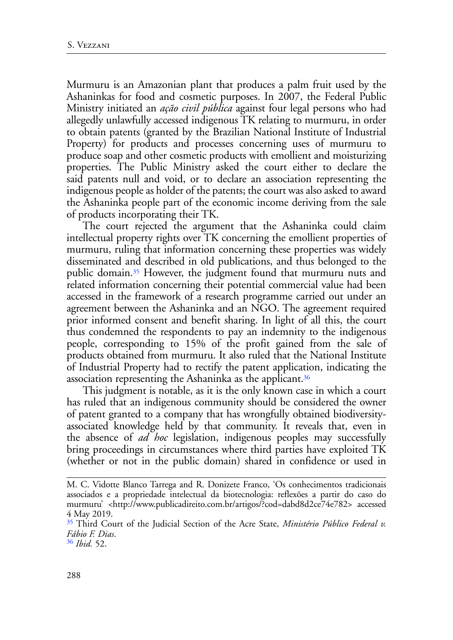Murmuru is an Amazonian plant that produces a palm fruit used by the Ashaninkas for food and cosmetic purposes. In 2007, the Federal Public Ministry initiated an *ação civil pública* against four legal persons who had allegedly unlawfully accessed indigenous TK relating to murmuru, in order to obtain patents (granted by the Brazilian National Institute of Industrial Property) for products and processes concerning uses of murmuru to produce soap and other cosmetic products with emollient and moisturizing properties. The Public Ministry asked the court either to declare the said patents null and void, or to declare an association representing the indigenous people as holder of the patents; the court was also asked to award the Ashaninka people part of the economic income deriving from the sale of products incorporating their TK.

<span id="page-9-2"></span>The court rejected the argument that the Ashaninka could claim intellectual property rights over TK concerning the emollient properties of murmuru, ruling that information concerning these properties was widely disseminated and described in old publications, and thus belonged to the public domain[.35](#page-9-0) However, the judgment found that murmuru nuts and related information concerning their potential commercial value had been accessed in the framework of a research programme carried out under an agreement between the Ashaninka and an NGO. The agreement required prior informed consent and benefit sharing. In light of all this, the court thus condemned the respondents to pay an indemnity to the indigenous people, corresponding to 15% of the profit gained from the sale of products obtained from murmuru. It also ruled that the National Institute of Industrial Property had to rectify the patent application, indicating the association representing the Ashaninka as the applicant[.36](#page-9-1)

<span id="page-9-3"></span>This judgment is notable, as it is the only known case in which a court has ruled that an indigenous community should be considered the owner of patent granted to a company that has wrongfully obtained biodiversityassociated knowledge held by that community. It reveals that, even in the absence of *ad hoc* legislation, indigenous peoples may successfully bring proceedings in circumstances where third parties have exploited TK (whether or not in the public domain) shared in confidence or used in

M. C. Vidotte Blanco Tarrega and R. Donizete Franco, 'Os conhecimentos tradicionais associados e a propriedade intelectual da biotecnologia: reflexões a partir do caso do murmuru' <http://www.publicadireito.com.br/artigos/?cod=dabd8d2ce74e782> accessed 4 May 2019.

<span id="page-9-0"></span>[<sup>35</sup>](#page-9-2) Third Court of the Judicial Section of the Acre State, *Ministério Público Federal v. Fábio F. Dias*. [36](#page-9-3) *Ibid.* 52.

<span id="page-9-1"></span>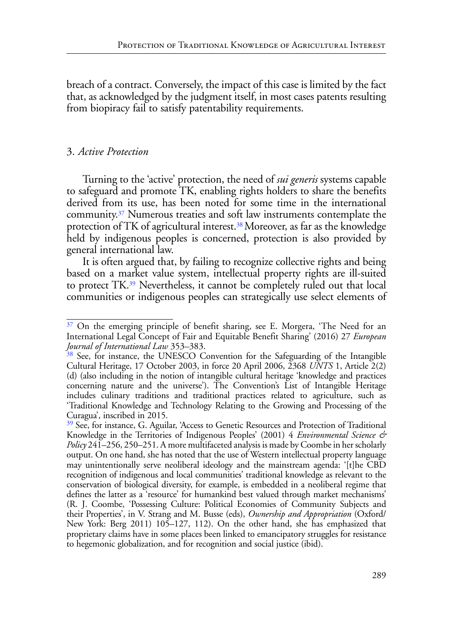breach of a contract. Conversely, the impact of this case is limited by the fact that, as acknowledged by the judgment itself, in most cases patents resulting from biopiracy fail to satisfy patentability requirements.

#### 3. *Active Protection*

<span id="page-10-3"></span>Turning to the 'active' protection, the need of *sui generis* systems capable to safeguard and promote TK, enabling rights holders to share the benefits derived from its use, has been noted for some time in the international community.[37](#page-10-0) Numerous treaties and soft law instruments contemplate the protection of TK of agricultural interest.[38](#page-10-1) Moreover, as far as the knowledge held by indigenous peoples is concerned, protection is also provided by general international law.

<span id="page-10-5"></span><span id="page-10-4"></span>It is often argued that, by failing to recognize collective rights and being based on a market value system, intellectual property rights are ill-suited to protect TK[.39](#page-10-2) Nevertheless, it cannot be completely ruled out that local communities or indigenous peoples can strategically use select elements of

<span id="page-10-0"></span><sup>&</sup>lt;sup>37</sup> On the emerging principle of benefit sharing, see E. Morgera, 'The Need for an International Legal Concept of Fair and Equitable Benefit Sharing' (2016) 27 *European Journal of International Law* 353–383.

<span id="page-10-1"></span> $38$  See, for instance, the UNESCO Convention for the Safeguarding of the Intangible Cultural Heritage, 17 October 2003, in force 20 April 2006, 2368 *UNTS* 1, Article 2(2) (d) (also including in the notion of intangible cultural heritage 'knowledge and practices concerning nature and the universe'). The Convention's List of Intangible Heritage includes culinary traditions and traditional practices related to agriculture, such as 'Traditional Knowledge and Technology Relating to the Growing and Processing of the Curagua', inscribed in 2015.

<span id="page-10-2"></span>[<sup>39</sup>](#page-10-5) See, for instance, G. Aguilar, 'Access to Genetic Resources and Protection of Traditional Knowledge in the Territories of Indigenous Peoples' (2001) 4 *Environmental Science & Policy* 241–256, 250–251. A more multifaceted analysis is made by Coombe in her scholarly output. On one hand, she has noted that the use of Western intellectual property language may unintentionally serve neoliberal ideology and the mainstream agenda: '[t]he CBD recognition of indigenous and local communities' traditional knowledge as relevant to the conservation of biological diversity, for example, is embedded in a neoliberal regime that defines the latter as a 'resource' for humankind best valued through market mechanisms' (R. J. Coombe, 'Possessing Culture: Political Economies of Community Subjects and their Properties', in V. Strang and M. Busse (eds), *Ownership and Appropriation* (Oxford/ New York: Berg 2011) 105–127, 112). On the other hand, she has emphasized that proprietary claims have in some places been linked to emancipatory struggles for resistance to hegemonic globalization, and for recognition and social justice (ibid).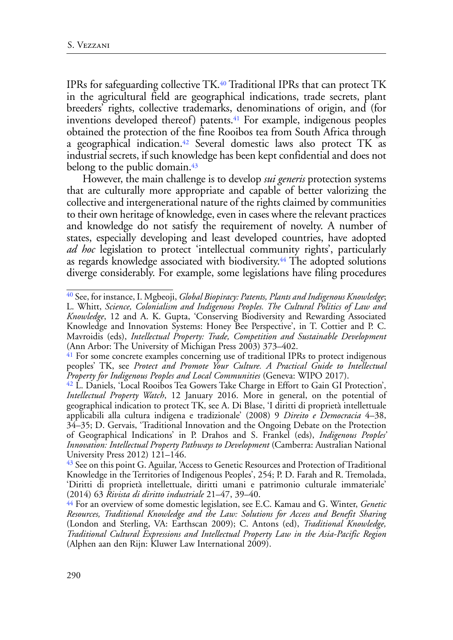<span id="page-11-6"></span><span id="page-11-5"></span>IPRs for safeguarding collective TK[.40](#page-11-0) Traditional IPRs that can protect TK in the agricultural field are geographical indications, trade secrets, plant breeders' rights, collective trademarks, denominations of origin, and (for inventions developed thereof) patents.<sup>41</sup> For example, indigenous peoples obtained the protection of the fine Rooibos tea from South Africa through a geographical indication[.42](#page-11-2) Several domestic laws also protect TK as industrial secrets, if such knowledge has been kept confidential and does not belong to the public domain.<sup>[43](#page-11-3)</sup>

<span id="page-11-8"></span><span id="page-11-7"></span>However, the main challenge is to develop *sui generis* protection systems that are culturally more appropriate and capable of better valorizing the collective and intergenerational nature of the rights claimed by communities to their own heritage of knowledge, even in cases where the relevant practices and knowledge do not satisfy the requirement of novelty. A number of states, especially developing and least developed countries, have adopted *ad hoc* legislation to protect 'intellectual community rights', particularly as regards knowledge associated with biodiversity.<sup>44</sup> The adopted solutions diverge considerably. For example, some legislations have filing procedures

<span id="page-11-9"></span><span id="page-11-0"></span>[<sup>40</sup>](#page-11-5) See, for instance, I. Mgbeoji, *Global Biopiracy: Patents, Plants and Indigenous Knowledge*; L. Whitt, *Science, Colonialism and Indigenous Peoples. The Cultural Politics of Law and Knowledge*, 12 and A. K. Gupta, 'Conserving Biodiversity and Rewarding Associated Knowledge and Innovation Systems: Honey Bee Perspective', in T. Cottier and P. C. Mavroidis (eds), *Intellectual Property: Trade, Competition and Sustainable Development* (Ann Arbor: The University of Michigan Press 2003) 373–402.

<span id="page-11-1"></span>[<sup>41</sup>](#page-11-6) For some concrete examples concerning use of traditional IPRs to protect indigenous peoples' TK, see *Protect and Promote Your Culture. A Practical Guide to Intellectual Property for Indigenous Peoples and Local Communities* (Geneva: WIPO 2017).

<span id="page-11-2"></span>[<sup>42</sup>](#page-11-7) L. Daniels, 'Local Rooibos Tea Gowers Take Charge in Effort to Gain GI Protection', *Intellectual Property Watch*, 12 January 2016. More in general, on the potential of geographical indication to protect TK, see A. Di Blase, 'I diritti di proprietà intellettuale applicabili alla cultura indigena e tradizionale' (2008) 9 *Direito e Democracia* 4–38, 34–35; D. Gervais, 'Traditional Innovation and the Ongoing Debate on the Protection of Geographical Indications' in P. Drahos and S. Frankel (eds), *Indigenous Peoples' Innovation: Intellectual Property Pathways to Development* (Camberra: Australian National University Press 2012) 121–146.

<span id="page-11-3"></span><sup>&</sup>lt;sup>43</sup> See on this point G. Aguilar, 'Access to Genetic Resources and Protection of Traditional Knowledge in the Territories of Indigenous Peoples', 254; P. D. Farah and R. Tremolada, 'Diritti di proprietà intellettuale, diritti umani e patrimonio culturale immateriale' (2014) 63 *Rivista di diritto industriale* 21–47, 39–40.

<span id="page-11-4"></span>[<sup>44</sup>](#page-11-9) For an overview of some domestic legislation, see E.C. Kamau and G. Winter, *Genetic Resources, Traditional Knowledge and the Law: Solutions for Access and Benefit Sharing* (London and Sterling, VA: Earthscan 2009); C. Antons (ed), *Traditional Knowledge, Traditional Cultural Expressions and Intellectual Property Law in the Asia-Pacific Region* (Alphen aan den Rijn: Kluwer Law International 2009).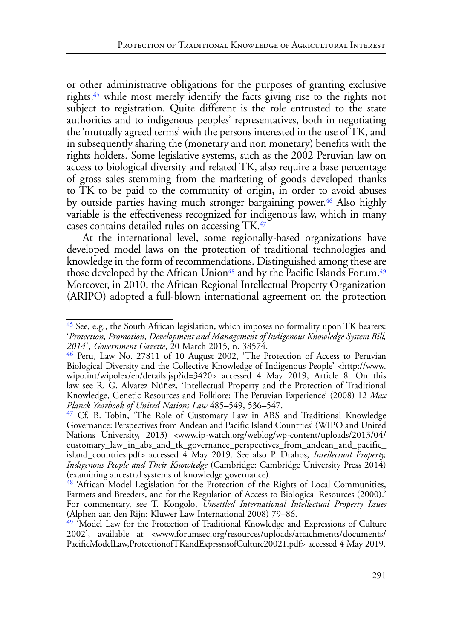<span id="page-12-5"></span>or other administrative obligations for the purposes of granting exclusive rights,<sup>45</sup> while most merely identify the facts giving rise to the rights not subject to registration. Quite different is the role entrusted to the state authorities and to indigenous peoples' representatives, both in negotiating the 'mutually agreed terms' with the persons interested in the use of TK, and in subsequently sharing the (monetary and non monetary) benefits with the rights holders. Some legislative systems, such as the 2002 Peruvian law on access to biological diversity and related TK, also require a base percentage of gross sales stemming from the marketing of goods developed thanks to TK to be paid to the community of origin, in order to avoid abuses by outside parties having much stronger bargaining power.<sup>46</sup> Also highly variable is the effectiveness recognized for indigenous law, which in many cases contains detailed rules on accessing TK[.47](#page-12-2)

<span id="page-12-9"></span><span id="page-12-8"></span><span id="page-12-7"></span><span id="page-12-6"></span>At the international level, some regionally-based organizations have developed model laws on the protection of traditional technologies and knowledge in the form of recommendations. Distinguished among these are those developed by the African Union<sup>48</sup> and by the Pacific Islands Forum.<sup>49</sup> Moreover, in 2010, the African Regional Intellectual Property Organization (ARIPO) adopted a full-blown international agreement on the protection

<span id="page-12-0"></span>[<sup>45</sup>](#page-12-5) See, e.g., the South African legislation, which imposes no formality upon TK bearers: '*Protection, Promotion, Development and Management of Indigenous Knowledge System Bill, 2014*', *Government Gazette*, 20 March 2015, n. 38574.

<span id="page-12-1"></span>[<sup>46</sup>](#page-12-6) Peru, Law No. 27811 of 10 August 2002, 'The Protection of Access to Peruvian Biological Diversity and the Collective Knowledge of Indigenous People' <http://www. wipo.int/wipolex/en/details.jsp?id=3420> accessed 4 May 2019, Article 8. On this law see R. G. Alvarez Núñez, 'Intellectual Property and the Protection of Traditional Knowledge, Genetic Resources and Folklore: The Peruvian Experience' (2008) 12 *Max Planck Yearbook of United Nations Law* 485–549, 536–547.

<span id="page-12-2"></span><sup>&</sup>lt;sup>47</sup> Cf. B. Tobin, 'The Role of Customary Law in ABS and Traditional Knowledge Governance: Perspectives from Andean and Pacific Island Countries' (WIPO and United Nations University, 2013) <www.ip-watch.org/weblog/wp-content/uploads/2013/04/ customary\_law\_in\_abs\_and\_tk\_governance\_perspectives\_from\_andean\_and\_pacific\_ island\_countries.pdf> accessed 4 May 2019. See also P. Drahos, *Intellectual Property, Indigenous People and Their Knowledge* (Cambridge: Cambridge University Press 2014) (examining ancestral systems of knowledge governance).

<span id="page-12-3"></span>[<sup>48</sup>](#page-12-8) 'African Model Legislation for the Protection of the Rights of Local Communities, Farmers and Breeders, and for the Regulation of Access to Biological Resources (2000).' For commentary, see T. Kongolo, *Unsettled International Intellectual Property Issues* (Alphen aan den Rijn: Kluwer Law International 2008) 79–86.

<span id="page-12-4"></span><sup>&</sup>lt;sup>49</sup> 'Model Law for the Protection of Traditional Knowledge and Expressions of Culture 2002', available at <www.forumsec.org/resources/uploads/attachments/documents/ PacificModelLaw,ProtectionofTKandExprssnsofCulture20021.pdf> accessed 4 May 2019.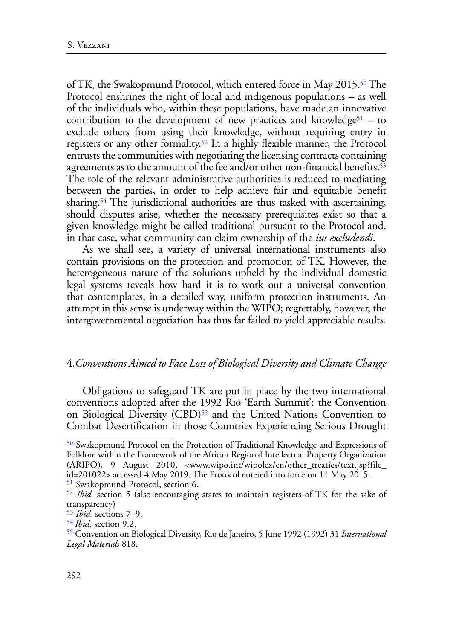<span id="page-13-9"></span><span id="page-13-8"></span><span id="page-13-7"></span><span id="page-13-6"></span>of TK, the Swakopmund Protocol, which entered force in May 2015[.50](#page-13-0) The Protocol enshrines the right of local and indigenous populations – as well of the individuals who, within these populations, have made an innovative contribution to the development of new practices and knowledge<sup>[51](#page-13-1)</sup> – to exclude others from using their knowledge, without requiring entry in registers or any other formality[.52](#page-13-2) In a highly flexible manner, the Protocol entrusts the communities with negotiating the licensing contracts containing agreements as to the amount of the fee and/or other non-financial benefits.<sup>53</sup> The role of the relevant administrative authorities is reduced to mediating between the parties, in order to help achieve fair and equitable benefit sharing.<sup>[54](#page-13-4)</sup> The jurisdictional authorities are thus tasked with ascertaining, should disputes arise, whether the necessary prerequisites exist so that a given knowledge might be called traditional pursuant to the Protocol and, in that case, what community can claim ownership of the *ius excludendi*.

<span id="page-13-10"></span>As we shall see, a variety of universal international instruments also contain provisions on the protection and promotion of TK. However, the heterogeneous nature of the solutions upheld by the individual domestic legal systems reveals how hard it is to work out a universal convention that contemplates, in a detailed way, uniform protection instruments. An attempt in this sense is underway within the WIPO; regrettably, however, the intergovernmental negotiation has thus far failed to yield appreciable results.

#### 4.*Conventions Aimed to Face Loss of Biological Diversity and Climate Change*

<span id="page-13-11"></span>Obligations to safeguard TK are put in place by the two international conventions adopted after the 1992 Rio 'Earth Summit': the Convention on Biological Diversity (CBD)<sup>55</sup> and the United Nations Convention to Combat Desertification in those Countries Experiencing Serious Drought

<span id="page-13-0"></span>[<sup>50</sup>](#page-13-6) Swakopmund Protocol on the Protection of Traditional Knowledge and Expressions of Folklore within the Framework of the African Regional Intellectual Property Organization (ARIPO), 9 August 2010, <www.wipo.int/wipolex/en/other\_treaties/text.jsp?file\_ id=201022> accessed 4 May 2019. The Protocol entered into force on 11 May 2015.

<span id="page-13-1"></span>[<sup>51</sup>](#page-13-7) Swakopmund Protocol, section 6.

<span id="page-13-2"></span>[<sup>52</sup>](#page-13-8) *Ibid.* section 5 (also encouraging states to maintain registers of TK for the sake of transparency)

<span id="page-13-3"></span>[<sup>53</sup>](#page-13-9) *Ibid.* sections 7–9.

<span id="page-13-4"></span>[<sup>54</sup>](#page-13-10) *Ibid.* section 9.2.

<span id="page-13-5"></span>[<sup>55</sup>](#page-13-11) Convention on Biological Diversity, Rio de Janeiro, 5 June 1992 (1992) 31 *International Legal Materials* 818.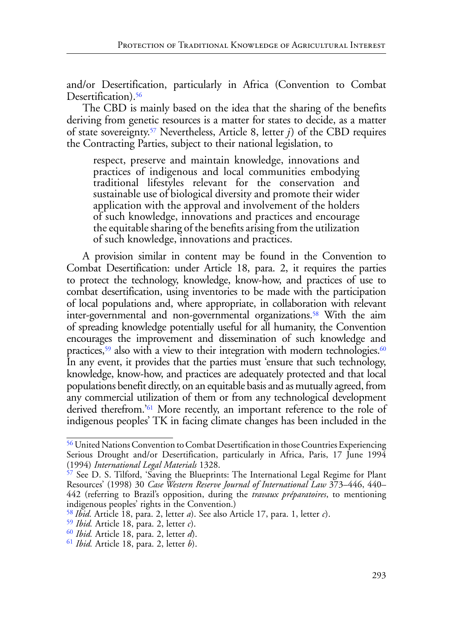and/or Desertification, particularly in Africa (Convention to Combat Desertification).<sup>56</sup>

The CBD is mainly based on the idea that the sharing of the benefits deriving from genetic resources is a matter for states to decide, as a matter of state sovereignty.[57](#page-14-1) Nevertheless, Article 8, letter *j*) of the CBD requires the Contracting Parties, subject to their national legislation, to

<span id="page-14-8"></span><span id="page-14-7"></span><span id="page-14-6"></span>respect, preserve and maintain knowledge, innovations and practices of indigenous and local communities embodying traditional lifestyles relevant for the conservation and sustainable use of biological diversity and promote their wider application with the approval and involvement of the holders of such knowledge, innovations and practices and encourage the equitable sharing of the benefits arising from the utilization of such knowledge, innovations and practices.

<span id="page-14-10"></span><span id="page-14-9"></span>A provision similar in content may be found in the Convention to Combat Desertification: under Article 18, para. 2, it requires the parties to protect the technology, knowledge, know-how, and practices of use to combat desertification, using inventories to be made with the participation of local populations and, where appropriate, in collaboration with relevant inter-governmental and non-governmental organizations.<sup>58</sup> With the aim of spreading knowledge potentially useful for all humanity, the Convention encourages the improvement and dissemination of such knowledge and practices,<sup>59</sup> also with a view to their integration with modern technologies.<sup>60</sup> In any event, it provides that the parties must 'ensure that such technology, knowledge, know-how, and practices are adequately protected and that local populations benefit directly, on an equitable basis and as mutually agreed, from any commercial utilization of them or from any technological development derived therefrom.['61](#page-14-5) More recently, an important reference to the role of indigenous peoples' TK in facing climate changes has been included in the

<span id="page-14-11"></span><span id="page-14-0"></span>[<sup>56</sup>](#page-14-6) United Nations Convention to Combat Desertification in those Countries Experiencing Serious Drought and/or Desertification, particularly in Africa, Paris, 17 June 1994 (1994) *International Legal Materials* 1328.

<span id="page-14-1"></span>[<sup>57</sup>](#page-14-7) See D. S. Tilford, 'Saving the Blueprints: The International Legal Regime for Plant Resources' (1998) 30 *Case Western Reserve Journal of International Law* 373–446, 440– 442 (referring to Brazil's opposition, during the *travaux préparatoires*, to mentioning indigenous peoples' rights in the Convention.)

<span id="page-14-2"></span>[<sup>58</sup>](#page-14-8) *Ibid.* Article 18, para. 2, letter *a*). See also Article 17, para. 1, letter *c*).

<span id="page-14-3"></span>[<sup>59</sup>](#page-14-9) *Ibid.* Article 18, para. 2, letter *c*).

<span id="page-14-4"></span>[<sup>60</sup>](#page-14-10) *Ibid.* Article 18, para. 2, letter *d*).

<span id="page-14-5"></span>[<sup>61</sup>](#page-14-11) *Ibid.* Article 18, para. 2, letter *b*).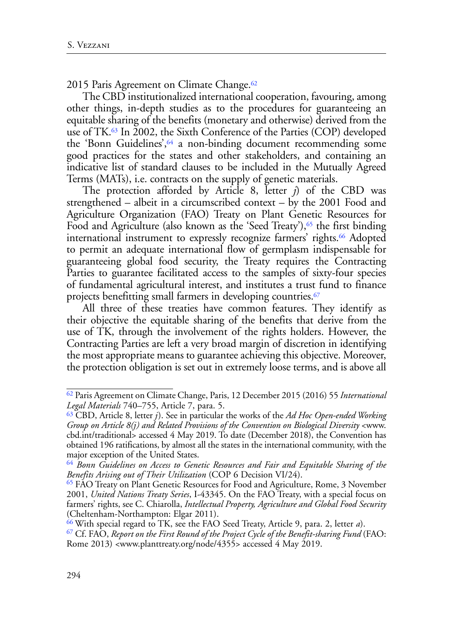<span id="page-15-6"></span>2015 Paris Agreement on Climate Change.<sup>62</sup>

<span id="page-15-8"></span><span id="page-15-7"></span>The CBD institutionalized international cooperation, favouring, among other things, in-depth studies as to the procedures for guaranteeing an equitable sharing of the benefits (monetary and otherwise) derived from the use of TK[.63](#page-15-1) In 2002, the Sixth Conference of the Parties (COP) developed the 'Bonn Guidelines', <sup>64</sup> a non-binding document recommending some good practices for the states and other stakeholders, and containing an indicative list of standard clauses to be included in the Mutually Agreed Terms (MATs), i.e. contracts on the supply of genetic materials.

<span id="page-15-10"></span><span id="page-15-9"></span>The protection afforded by Article 8, letter *j*) of the CBD was strengthened – albeit in a circumscribed context – by the 2001 Food and Agriculture Organization (FAO) Treaty on Plant Genetic Resources for Food and Agriculture (also known as the 'Seed Treaty'),<sup>65</sup> the first binding international instrument to expressly recognize farmers' rights.<sup>[66](#page-15-4)</sup> Adopted to permit an adequate international flow of germplasm indispensable for guaranteeing global food security, the Treaty requires the Contracting Parties to guarantee facilitated access to the samples of sixty-four species of fundamental agricultural interest, and institutes a trust fund to finance projects benefitting small farmers in developing countries.<sup>[67](#page-15-5)</sup>

<span id="page-15-11"></span>All three of these treaties have common features. They identify as their objective the equitable sharing of the benefits that derive from the use of TK, through the involvement of the rights holders. However, the Contracting Parties are left a very broad margin of discretion in identifying the most appropriate means to guarantee achieving this objective. Moreover, the protection obligation is set out in extremely loose terms, and is above all

<span id="page-15-0"></span>[<sup>62</sup>](#page-15-6) Paris Agreement on Climate Change, Paris, 12 December 2015 (2016) 55 *International Legal Materials* 740–755, Article 7, para. 5.

<span id="page-15-1"></span>[<sup>63</sup>](#page-15-7) CBD, Article 8, letter *j*). See in particular the works of the *Ad Hoc Open-ended Working Group on Article 8(j) and Related Provisions of the Convention on Biological Diversity* <www. cbd.int/traditional> accessed 4 May 2019. To date (December 2018), the Convention has obtained 196 ratifications, by almost all the states in the international community, with the major exception of the United States.

<span id="page-15-2"></span>[<sup>64</sup>](#page-15-8) *Bonn Guidelines on Access to Genetic Resources and Fair and Equitable Sharing of the Benefits Arising out of Their Utilization* (COP 6 Decision VI/24).

<span id="page-15-3"></span>[<sup>65</sup>](#page-15-9) FAO Treaty on Plant Genetic Resources for Food and Agriculture, Rome, 3 November 2001, *United Nations Treaty Series*, I-43345. On the FAO Treaty, with a special focus on farmers' rights, see C. Chiarolla, *Intellectual Property, Agriculture and Global Food Security* (Cheltenham-Northampton: Elgar 2011).

<span id="page-15-4"></span>[<sup>66</sup> W](#page-15-10)ith special regard to TK, see the FAO Seed Treaty, Article 9, para. 2, letter *a*).

<span id="page-15-5"></span>[<sup>67</sup>](#page-15-11) Cf. FAO, *Report on the First Round of the Project Cycle of the Benefit-sharing Fund* (FAO: Rome 2013) <[www.planttreaty.org/node/4355>](http://www.planttreaty.org/node/4355) accessed 4 May 2019.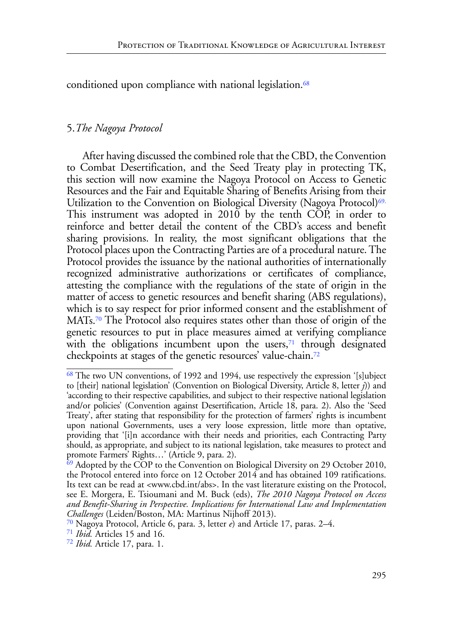<span id="page-16-5"></span>conditioned upon compliance with national legislation.<sup>[68](#page-16-0)</sup>

### 5.*The Nagoya Protocol*

<span id="page-16-6"></span>After having discussed the combined role that the CBD, the Convention to Combat Desertification, and the Seed Treaty play in protecting TK, this section will now examine the Nagoya Protocol on Access to Genetic Resources and the Fair and Equitable Sharing of Benefits Arising from their Utilization to the Convention on Biological Diversity (Nagoya Protocol)<sup>69.</sup> This instrument was adopted in 2010 by the tenth COP, in order to reinforce and better detail the content of the CBD's access and benefit sharing provisions. In reality, the most significant obligations that the Protocol places upon the Contracting Parties are of a procedural nature. The Protocol provides the issuance by the national authorities of internationally recognized administrative authorizations or certificates of compliance, attesting the compliance with the regulations of the state of origin in the matter of access to genetic resources and benefit sharing (ABS regulations), which is to say respect for prior informed consent and the establishment of MATs[.70](#page-16-2) The Protocol also requires states other than those of origin of the genetic resources to put in place measures aimed at verifying compliance with the obligations incumbent upon the users, $71$  through designated checkpoints at stages of the genetic resources' value-chain.[72](#page-16-4)

<span id="page-16-9"></span><span id="page-16-8"></span><span id="page-16-7"></span><span id="page-16-0"></span>[<sup>68</sup>](#page-16-5) The two UN conventions, of 1992 and 1994, use respectively the expression '[s]ubject to [their] national legislation' (Convention on Biological Diversity, Article 8, letter *j*)) and 'according to their respective capabilities, and subject to their respective national legislation and/or policies' (Convention against Desertification, Article 18, para. 2). Also the 'Seed Treaty', after stating that responsibility for the protection of farmers' rights is incumbent upon national Governments, uses a very loose expression, little more than optative, providing that '[i]n accordance with their needs and priorities, each Contracting Party should, as appropriate, and subject to its national legislation, take measures to protect and promote Farmers' Rights…' (Article 9, para. 2).

<span id="page-16-1"></span><sup>&</sup>lt;sup>69</sup> Adopted by the COP to the Convention on Biological Diversity on 29 October 2010, the Protocol entered into force on 12 October 2014 and has obtained 109 ratifications. Its text can be read at <www.cbd.int/abs>. In the vast literature existing on the Protocol, see E. Morgera, E. Tsioumani and M. Buck (eds), *The 2010 Nagoya Protocol on Access and Benefit-Sharing in Perspective. Implications for International Law and Implementation Challenges* (Leiden/Boston, MA: Martinus Nijhoff 2013).

<span id="page-16-2"></span>[<sup>70</sup>](#page-16-7) Nagoya Protocol, Article 6, para. 3, letter *e*) and Article 17, paras. 2–4.

<span id="page-16-3"></span>[<sup>71</sup>](#page-16-8) *Ibid.* Articles 15 and 16.

<span id="page-16-4"></span>[<sup>72</sup>](#page-16-9) *Ibid.* Article 17, para. 1.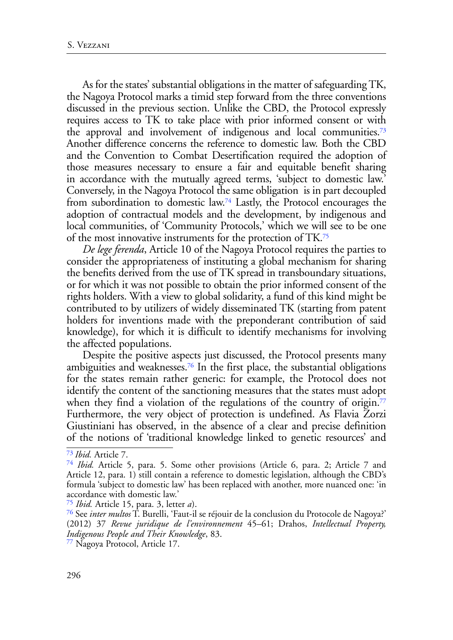<span id="page-17-5"></span>As for the states' substantial obligations in the matter of safeguarding TK, the Nagoya Protocol marks a timid step forward from the three conventions discussed in the previous section. Unlike the CBD, the Protocol expressly requires access to TK to take place with prior informed consent or with the approval and involvement of indigenous and local communities[.73](#page-17-0) Another difference concerns the reference to domestic law. Both the CBD and the Convention to Combat Desertification required the adoption of those measures necessary to ensure a fair and equitable benefit sharing in accordance with the mutually agreed terms, 'subject to domestic law.' Conversely, in the Nagoya Protocol the same obligation is in part decoupled from subordination to domestic law[.74](#page-17-1) Lastly, the Protocol encourages the adoption of contractual models and the development, by indigenous and local communities, of 'Community Protocols,' which we will see to be one of the most innovative instruments for the protection of TK[.75](#page-17-2)

<span id="page-17-7"></span><span id="page-17-6"></span>*De lege ferenda*, Article 10 of the Nagoya Protocol requires the parties to consider the appropriateness of instituting a global mechanism for sharing the benefits derived from the use of TK spread in transboundary situations, or for which it was not possible to obtain the prior informed consent of the rights holders. With a view to global solidarity, a fund of this kind might be contributed to by utilizers of widely disseminated TK (starting from patent holders for inventions made with the preponderant contribution of said knowledge), for which it is difficult to identify mechanisms for involving the affected populations.

<span id="page-17-9"></span><span id="page-17-8"></span>Despite the positive aspects just discussed, the Protocol presents many ambiguities and weaknesses[.76](#page-17-3) In the first place, the substantial obligations for the states remain rather generic: for example, the Protocol does not identify the content of the sanctioning measures that the states must adopt when they find a violation of the regulations of the country of origin.<sup>77</sup> Furthermore, the very object of protection is undefined. As Flavia Zorzi Giustiniani has observed, in the absence of a clear and precise definition of the notions of 'traditional knowledge linked to genetic resources' and

<span id="page-17-0"></span>[<sup>73</sup>](#page-17-5) *Ibid.* Article 7.

<span id="page-17-1"></span>[<sup>74</sup>](#page-17-6) *Ibid.* Article 5, para. 5. Some other provisions (Article 6, para. 2; Article 7 and Article 12, para. 1) still contain a reference to domestic legislation, although the CBD's formula 'subject to domestic law' has been replaced with another, more nuanced one: 'in accordance with domestic law.'

<span id="page-17-2"></span>[<sup>75</sup>](#page-17-7) *Ibid.* Article 15, para. 3, letter *a*).

<span id="page-17-3"></span>[<sup>76</sup>](#page-17-8) See *inter multos* T. Burelli, 'Faut-il se réjouir de la conclusion du Protocole de Nagoya?' (2012) 37 *Revue juridique de l'environnement* 45–61; Drahos, *Intellectual Property, Indigenous People and Their Knowledge*, 83.

<span id="page-17-4"></span>[<sup>77</sup>](#page-17-9) Nagoya Protocol, Article 17.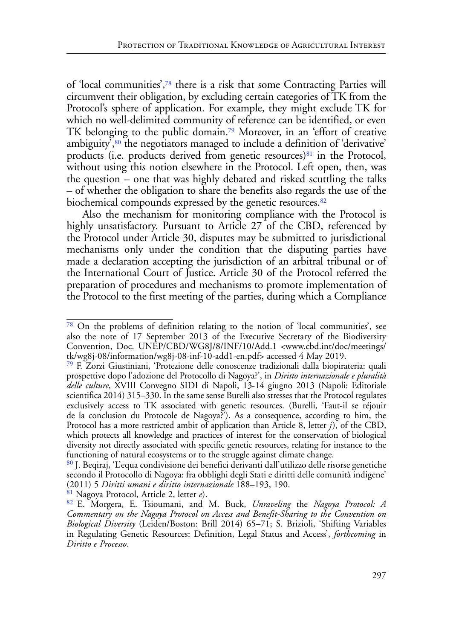<span id="page-18-7"></span><span id="page-18-6"></span><span id="page-18-5"></span>of 'local communities',[78](#page-18-0) there is a risk that some Contracting Parties will circumvent their obligation, by excluding certain categories of TK from the Protocol's sphere of application. For example, they might exclude TK for which no well-delimited community of reference can be identified, or even TK belonging to the public domain.[79](#page-18-1) Moreover, in an 'effort of creative ambiguity<sup>7,80</sup> the negotiators managed to include a definition of 'derivative' products (i.e. products derived from genetic resources) $81$  in the Protocol, without using this notion elsewhere in the Protocol. Left open, then, was the question – one that was highly debated and risked scuttling the talks – of whether the obligation to share the benefits also regards the use of the biochemical compounds expressed by the genetic resources.<sup>[82](#page-18-4)</sup>

<span id="page-18-9"></span><span id="page-18-8"></span>Also the mechanism for monitoring compliance with the Protocol is highly unsatisfactory. Pursuant to Article 27 of the CBD, referenced by the Protocol under Article 30, disputes may be submitted to jurisdictional mechanisms only under the condition that the disputing parties have made a declaration accepting the jurisdiction of an arbitral tribunal or of the International Court of Justice. Article 30 of the Protocol referred the preparation of procedures and mechanisms to promote implementation of the Protocol to the first meeting of the parties, during which a Compliance

<span id="page-18-0"></span>[<sup>78</sup>](#page-18-5) On the problems of definition relating to the notion of 'local communities', see also the note of 17 September 2013 of the Executive Secretary of the Biodiversity Convention, Doc. UNEP/CBD/WG8J/8/INF/10/Add.1 <www.cbd.int/doc/meetings/ tk/wg8j-08/information/wg8j-08-inf-10-add1-en.pdf> accessed 4 May 2019.

<span id="page-18-1"></span>[<sup>79</sup>](#page-18-6) F. Zorzi Giustiniani, 'Protezione delle conoscenze tradizionali dalla biopirateria: quali prospettive dopo l'adozione del Protocollo di Nagoya?', in *[Diritto internazionale e pluralità](http://www.sidi-isil.org/wp-content/uploads/2014/07/XVIII-2013.pdf) [delle culture](http://www.sidi-isil.org/wp-content/uploads/2014/07/XVIII-2013.pdf)*, XVIII Convegno SIDI di Napoli, 13-14 giugno 2013 (Napoli: Editoriale scientifica 2014) 315–330. In the same sense Burelli also stresses that the Protocol regulates exclusively access to TK associated with genetic resources. (Burelli, 'Faut-il se réjouir de la conclusion du Protocole de Nagoya?'). As a consequence, according to him, the Protocol has a more restricted ambit of application than Article 8, letter *j*), of the CBD, which protects all knowledge and practices of interest for the conservation of biological diversity not directly associated with specific genetic resources, relating for instance to the functioning of natural ecosystems or to the struggle against climate change.

<span id="page-18-2"></span>[<sup>80</sup>](#page-18-7) J. Beqiraj, 'L'equa condivisione dei benefici derivanti dall'utilizzo delle risorse genetiche secondo il Protocollo di Nagoya: fra obblighi degli Stati e diritti delle comunità indigene' (2011) 5 *Diritti umani e diritto internazionale* 188–193, 190.

<span id="page-18-3"></span>[<sup>81</sup>](#page-18-8) Nagoya Protocol, Article 2, letter *e*).

<span id="page-18-4"></span>[<sup>82</sup>](#page-18-9) E. Morgera, E. Tsioumani, and M. Buck, *Unraveling* the *Nagoya Protocol: A Commentary on the Nagoya Protocol on Access and Benefit-Sharing to the Convention on Biological Diversity* (Leiden/Boston: Brill 2014) 65–71; S. Brizioli, 'Shifting Variables in Regulating Genetic Resources: Definition, Legal Status and Access', *forthcoming* in *Diritto e Processo*.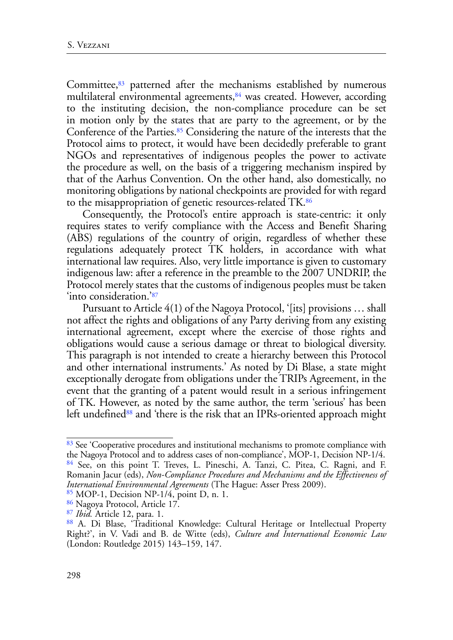<span id="page-19-8"></span><span id="page-19-7"></span><span id="page-19-6"></span>Committee, $83$  patterned after the mechanisms established by numerous multilateral environmental agreements,<sup>84</sup> was created. However, according to the instituting decision, the non-compliance procedure can be set in motion only by the states that are party to the agreement, or by the Conference of the Parties.<sup>85</sup> Considering the nature of the interests that the Protocol aims to protect, it would have been decidedly preferable to grant NGOs and representatives of indigenous peoples the power to activate the procedure as well, on the basis of a triggering mechanism inspired by that of the Aarhus Convention. On the other hand, also domestically, no monitoring obligations by national checkpoints are provided for with regard to the misappropriation of genetic resources-related TK[.86](#page-19-3)

<span id="page-19-9"></span>Consequently, the Protocol's entire approach is state-centric: it only requires states to verify compliance with the Access and Benefit Sharing (ABS) regulations of the country of origin, regardless of whether these regulations adequately protect TK holders, in accordance with what international law requires. Also, very little importance is given to customary indigenous law: after a reference in the preamble to the 2007 UNDRIP, the Protocol merely states that the customs of indigenous peoples must be taken 'into consideration.'[87](#page-19-4)

<span id="page-19-10"></span>Pursuant to Article 4(1) of the Nagoya Protocol, '[its] provisions … shall not affect the rights and obligations of any Party deriving from any existing international agreement, except where the exercise of those rights and obligations would cause a serious damage or threat to biological diversity. This paragraph is not intended to create a hierarchy between this Protocol and other international instruments.' As noted by Di Blase, a state might exceptionally derogate from obligations under the TRIPs Agreement, in the event that the granting of a patent would result in a serious infringement of TK. However, as noted by the same author, the term 'serious' has been left undefined<sup>88</sup> and 'there is the risk that an IPRs-oriented approach might

<span id="page-19-11"></span><span id="page-19-1"></span><span id="page-19-0"></span>[<sup>83</sup>](#page-19-6) See 'Cooperative procedures and institutional mechanisms to promote compliance with the Nagoya Protocol and to address cases of non-compliance', MOP-1, Decision NP-1/4. [84](#page-19-7) See, on this point T. Treves, L. Pineschi, A. Tanzi, C. Pitea, C. Ragni, and F. Romanin Jacur (eds), *Non-Compliance Procedures and Mechanisms and the Effectiveness of International Environmental Agreements* (The Hague: Asser Press 2009).

<span id="page-19-2"></span>[<sup>85</sup>](#page-19-8) MOP-1, Decision NP-1/4, point D, n. 1.

<span id="page-19-3"></span>[<sup>86</sup>](#page-19-9) Nagoya Protocol, Article 17.

<span id="page-19-4"></span>[<sup>87</sup>](#page-19-10) *Ibid.* Article 12, para. 1.

<span id="page-19-5"></span>[<sup>88</sup>](#page-19-11) A. Di Blase, 'Traditional Knowledge: Cultural Heritage or Intellectual Property Right?', in V. Vadi and B. de Witte (eds), *Culture and International Economic Law* (London: Routledge 2015) 143–159, 147.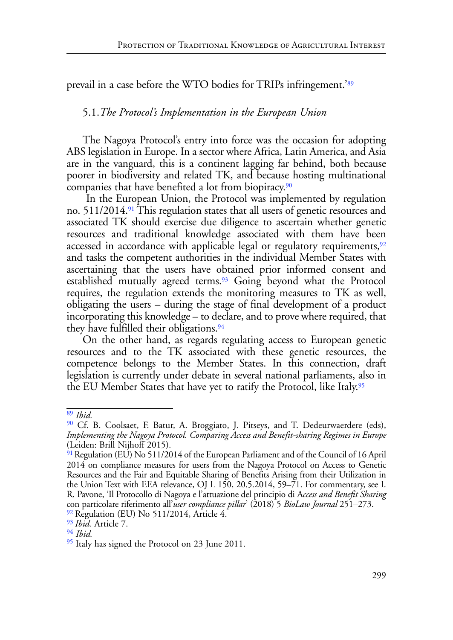<span id="page-20-7"></span>prevail in a case before the WTO bodies for TRIPs infringement.'[89](#page-20-0)

### <span id="page-20-10"></span>5.1.*The Protocol's Implementation in the European Union*

The Nagoya Protocol's entry into force was the occasion for adopting ABS legislation in Europe. In a sector where Africa, Latin America, and Asia are in the vanguard, this is a continent lagging far behind, both because poorer in biodiversity and related TK, and because hosting multinational companies that have benefited a lot from biopiracy[.90](#page-20-1)

<span id="page-20-9"></span><span id="page-20-8"></span> In the European Union, the Protocol was implemented by regulation no. 511/2014[.91](#page-20-2) This regulation states that all users of genetic resources and associated TK should exercise due diligence to ascertain whether genetic resources and traditional knowledge associated with them have been accessed in accordance with applicable legal or regulatory requirements,<sup>92</sup> and tasks the competent authorities in the individual Member States with ascertaining that the users have obtained prior informed consent and established mutually agreed terms. $93$  Going beyond what the Protocol requires, the regulation extends the monitoring measures to TK as well, obligating the users – during the stage of final development of a product incorporating this knowledge – to declare, and to prove where required, that they have fulfilled their obligations.<sup>[94](#page-20-5)</sup>

<span id="page-20-12"></span><span id="page-20-11"></span>On the other hand, as regards regulating access to European genetic resources and to the TK associated with these genetic resources, the competence belongs to the Member States. In this connection, draft legislation is currently under debate in several national parliaments, also in the EU Member States that have yet to ratify the Protocol, like Italy.<sup>95</sup>

<span id="page-20-4"></span><span id="page-20-3"></span>[93](#page-20-11) *Ibid.* Article 7.

<span id="page-20-13"></span><span id="page-20-0"></span>[<sup>89</sup>](#page-20-7) *Ibid.*

<span id="page-20-1"></span>[<sup>90</sup>](#page-20-8) Cf. B. Coolsaet, F. Batur, A. Broggiato, J. Pitseys, and T. Dedeurwaerdere (eds), *Implementing the Nagoya Protocol. Comparing Access and Benefit-sharing Regimes in Europe* (Leiden: Brill Nijhoff 2015).

<span id="page-20-2"></span>[<sup>91</sup>](#page-20-9) Regulation (EU) No 511/2014 of the European Parliament and of the Council of 16 April 2014 on compliance measures for users from the Nagoya Protocol on Access to Genetic Resources and the Fair and Equitable Sharing of Benefits Arising from their Utilization in the Union Text with EEA relevance, OJ L 150, 20.5.2014, 59–71. For commentary, see I. R. Pavone, 'Il Protocollo di Nagoya e l'attuazione del principio di A*ccess and Benefit Sharing*  con particolare riferimento all'*user compliance pillar*' (2018) 5 *BioLaw Journal* 251–273.  $92$  Regulation (EU) No 511/2014, Article 4.

<span id="page-20-5"></span>

[<sup>94</sup>](#page-20-12) *Ibid.*

<span id="page-20-6"></span> $\frac{95}{2}$  Italy has signed the Protocol on 23 June 2011.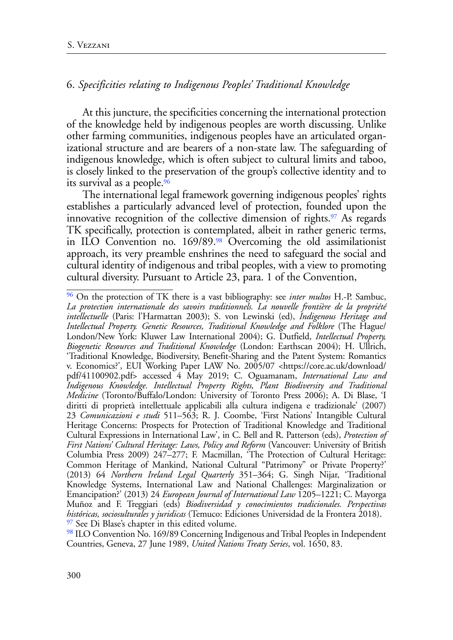## 6. *Specificities relating to Indigenous Peoples' Traditional Knowledge*

At this juncture, the specificities concerning the international protection of the knowledge held by indigenous peoples are worth discussing. Unlike other farming communities, indigenous peoples have an articulated organizational structure and are bearers of a non-state law. The safeguarding of indigenous knowledge, which is often subject to cultural limits and taboo, is closely linked to the preservation of the group's collective identity and to its survival as a people[.96](#page-21-0)

<span id="page-21-5"></span><span id="page-21-4"></span><span id="page-21-3"></span>The international legal framework governing indigenous peoples' rights establishes a particularly advanced level of protection, founded upon the innovative recognition of the collective dimension of rights.<sup>97</sup> As regards TK specifically, protection is contemplated, albeit in rather generic terms, in ILO Convention no. 169/89.[98](#page-21-2) Overcoming the old assimilationist approach, its very preamble enshrines the need to safeguard the social and cultural identity of indigenous and tribal peoples, with a view to promoting cultural diversity. Pursuant to Article 23, para. 1 of the Convention,

<span id="page-21-0"></span>[<sup>96</sup>](#page-21-3) On the protection of TK there is a vast bibliography: see *inter multos* H.-P. Sambuc, *La protection internationale des savoirs traditionnels. La nouvelle frontière de la propriété intellectuelle* (Paris: l'Harmattan 2003); S. von Lewinski (ed), *Indigenous Heritage and Intellectual Property. Genetic Resources, Traditional Knowledge and Folklore* (The Hague/ London/New York: Kluwer Law International 2004); G. Dutfield, *Intellectual Property, Biogenetic Resources and Traditional Knowledge* (London: Earthscan 2004); H. Ullrich, 'Traditional Knowledge, Biodiversity, Benefit-Sharing and the Patent System: Romantics v. Economics?', EUI Working Paper LAW No. 2005/07 <https://core.ac.uk/download/ pdf/41100902.pdf> accessed 4 May 2019; C. Oguamanam, *International Law and Indigenous Knowledge. Intellectual Property Rights, Plant Biodiversity and Traditional Medicine* (Toronto/Buffalo/London: University of Toronto Press 2006); A. Di Blase, 'I diritti di proprietà intellettuale applicabili alla cultura indigena e tradizionale' (2007) 23 *Comunicazioni e studi* 511–563; R. J. Coombe, 'First Nations' Intangible Cultural Heritage Concerns: Prospects for Protection of Traditional Knowledge and Traditional Cultural Expressions in International Law', in C. Bell and R. Patterson (eds), *Protection of First Nations' Cultural Heritage: Laws, Policy and Reform* (Vancouver: University of British Columbia Press 2009) 247–277; F. Macmillan, 'The Protection of Cultural Heritage: Common Heritage of Mankind, National Cultural "Patrimony" or Private Property?' (2013) 64 *Northern Ireland Legal Quarterly* 351–364; G. Singh Nijar, 'Traditional Knowledge Systems, International Law and National Challenges: Marginalization or Emancipation?' (2013) 24 *European Journal of International Law* 1205–1221; C. Mayorga Muñoz and F. Treggiari (eds) *Biodiversidad y conocimientos tradicionales. Perspectivas históricas, sociosulturales y juridicas* (Temuco: Ediciones Universidad de la Frontera 2018). <sup>97</sup> See Di Blase's chapter in this edited volume.

<span id="page-21-2"></span><span id="page-21-1"></span>[<sup>98</sup>](#page-21-5) ILO Convention No. 169/89 Concerning Indigenous and Tribal Peoples in Independent Countries, Geneva, 27 June 1989, *United Nations Treaty Series*, vol. 1650, 83.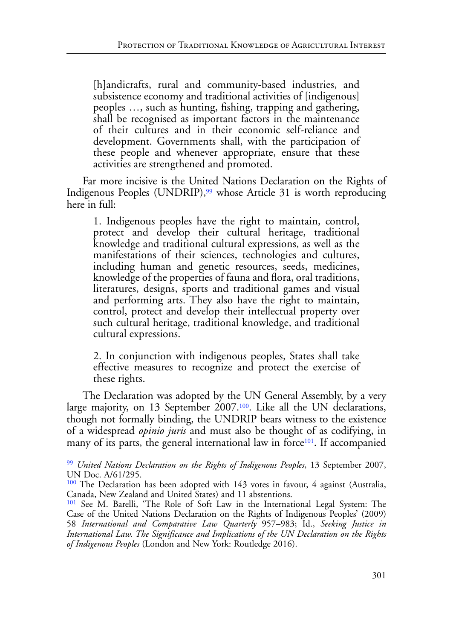[h]andicrafts, rural and community-based industries, and subsistence economy and traditional activities of [indigenous] peoples …, such as hunting, fishing, trapping and gathering, shall be recognised as important factors in the maintenance of their cultures and in their economic self-reliance and development. Governments shall, with the participation of these people and whenever appropriate, ensure that these activities are strengthened and promoted.

Far more incisive is the United Nations Declaration on the Rights of Indigenous Peoples (UNDRIP),<sup>99</sup> whose Article 31 is worth reproducing here in full:

<span id="page-22-3"></span>1. Indigenous peoples have the right to maintain, control, protect and develop their cultural heritage, traditional knowledge and traditional cultural expressions, as well as the manifestations of their sciences, technologies and cultures, including human and genetic resources, seeds, medicines, knowledge of the properties of fauna and flora, oral traditions, literatures, designs, sports and traditional games and visual and performing arts. They also have the right to maintain, control, protect and develop their intellectual property over such cultural heritage, traditional knowledge, and traditional cultural expressions.

<span id="page-22-5"></span><span id="page-22-4"></span>2. In conjunction with indigenous peoples, States shall take effective measures to recognize and protect the exercise of these rights.

The Declaration was adopted by the UN General Assembly, by a very large majority, on 13 September 2007.<sup>100</sup>. Like all the UN declarations, though not formally binding, the UNDRIP bears witness to the existence of a widespread *opinio juris* and must also be thought of as codifying, in many of its parts, the general international law in force<sup>[101](#page-22-2)</sup>. If accompanied

<span id="page-22-0"></span>[<sup>99</sup>](#page-22-3) *United Nations Declaration on the Rights of Indigenous Peoples*, 13 September 2007, UN Doc. A/61/295.

<span id="page-22-1"></span>[<sup>100</sup>](#page-22-4) The Declaration has been adopted with 143 votes in favour, 4 against (Australia, Canada, New Zealand and United States) and 11 abstentions.

<span id="page-22-2"></span>[<sup>101</sup>](#page-22-5) See M. Barelli, 'The Role of Soft Law in the International Legal System: The Case of the United Nations Declaration on the Rights of Indigenous Peoples' (2009) 58 *International and Comparative Law Quarterly* 957–983; Id., *Seeking Justice in International Law. The Significance and Implications of the UN Declaration on the Rights of Indigenous Peoples* (London and New York: Routledge 2016).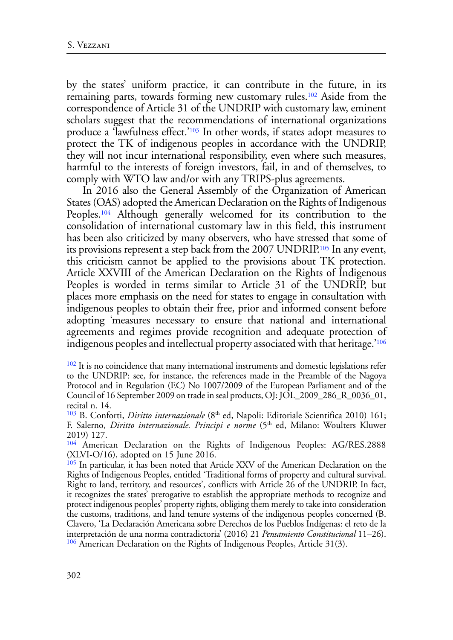<span id="page-23-6"></span><span id="page-23-5"></span>by the states' uniform practice, it can contribute in the future, in its remaining parts, towards forming new customary rules[.102](#page-23-0) Aside from the correspondence of Article 31 of the UNDRIP with customary law, eminent scholars suggest that the recommendations of international organizations produce a 'lawfulness effect.'[103](#page-23-1) In other words, if states adopt measures to protect the TK of indigenous peoples in accordance with the UNDRIP, they will not incur international responsibility, even where such measures, harmful to the interests of foreign investors, fail, in and of themselves, to comply with WTO law and/or with any TRIPS-plus agreements.

<span id="page-23-8"></span><span id="page-23-7"></span>In 2016 also the General Assembly of the Organization of American States (OAS) adopted the American Declaration on the Rights of Indigenous Peoples[.104](#page-23-2) Although generally welcomed for its contribution to the consolidation of international customary law in this field, this instrument has been also criticized by many observers, who have stressed that some of its provisions represent a step back from the 2007 UNDRIP[.105](#page-23-3) In any event, this criticism cannot be applied to the provisions about TK protection. Article XXVIII of the American Declaration on the Rights of Indigenous Peoples is worded in terms similar to Article 31 of the UNDRIP, but places more emphasis on the need for states to engage in consultation with indigenous peoples to obtain their free, prior and informed consent before adopting 'measures necessary to ensure that national and international agreements and regimes provide recognition and adequate protection of indigenous peoples and intellectual property associated with that heritage.'[106](#page-23-4)

<span id="page-23-9"></span><span id="page-23-0"></span><sup>&</sup>lt;sup>[102](#page-23-5)</sup> It is no coincidence that many international instruments and domestic legislations refer to the UNDRIP: see, for instance, the references made in the Preamble of the Nagoya Protocol and in Regulation (EC) No 1007/2009 of the European Parliament and of the Council of 16 September 2009 on trade in seal products, OJ: JOL\_2009\_286\_R\_0036\_01, recital n. 14.

<span id="page-23-1"></span><sup>&</sup>lt;sup>[103](#page-23-6)</sup> B. Conforti, *Diritto internazionale* (8<sup>th</sup> ed, Napoli: Editoriale Scientifica 2010) 161; F. Salerno, *Diritto internazionale. Principi e norme* (5<sup>th</sup> ed, Milano: Woulters Kluwer 2019) 127.

<span id="page-23-2"></span>[<sup>104</sup>](#page-23-7) American Declaration on the Rights of Indigenous Peoples: AG/RES.2888 (XLVI-O/16), adopted on 15 June 2016.

<span id="page-23-4"></span><span id="page-23-3"></span><sup>&</sup>lt;sup>[105](#page-23-8)</sup> In particular, it has been noted that Article XXV of the American Declaration on the Rights of Indigenous Peoples, entitled 'Traditional forms of property and cultural survival. Right to land, territory, and resources', conflicts with Article 26 of the UNDRIP. In fact, it recognizes the states' prerogative to establish the appropriate methods to recognize and protect indigenous peoples' property rights, obliging them merely to take into consideration the customs, traditions, and land tenure systems of the indigenous peoples concerned (B. Clavero, 'La Declaración Americana sobre Derechos de los Pueblos Indígenas: el reto de la interpretación de una norma contradictoria' (2016) 21 *Pensamiento Constitucional* 11–26). <sup>[106](#page-23-9)</sup> American Declaration on the Rights of Indigenous Peoples, Article 31(3).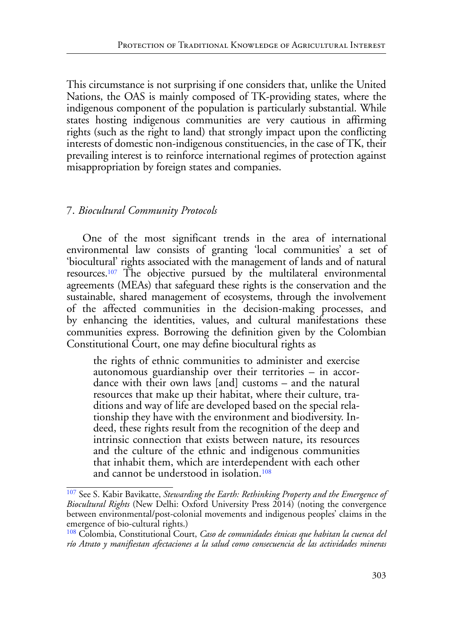This circumstance is not surprising if one considers that, unlike the United Nations, the OAS is mainly composed of TK-providing states, where the indigenous component of the population is particularly substantial. While states hosting indigenous communities are very cautious in affirming rights (such as the right to land) that strongly impact upon the conflicting interests of domestic non-indigenous constituencies, in the case of TK, their prevailing interest is to reinforce international regimes of protection against misappropriation by foreign states and companies.

## 7. *Biocultural Community Protocols*

<span id="page-24-2"></span>One of the most significant trends in the area of international environmental law consists of granting 'local communities' a set of 'biocultural' rights associated with the management of lands and of natural resources[.107](#page-24-0) The objective pursued by the multilateral environmental agreements (MEAs) that safeguard these rights is the conservation and the sustainable, shared management of ecosystems, through the involvement of the affected communities in the decision-making processes, and by enhancing the identities, values, and cultural manifestations these communities express. Borrowing the definition given by the Colombian Constitutional Court, one may define biocultural rights as

the rights of ethnic communities to administer and exercise autonomous guardianship over their territories – in accor- dance with their own laws [and] customs – and the natural resources that make up their habitat, where their culture, tra-<br>ditions and way of life are developed based on the special rela-<br>tionship they have with the environment and biodiversity. In-<br>deed, these rights result from intrinsic connection that exists between nature, its resources and the culture of the ethnic and indigenous communities that inhabit them, which are interdependent with each other and cannot be understood in isolation[.108](#page-24-1)

<span id="page-24-3"></span><span id="page-24-0"></span>[<sup>107</sup>](#page-24-2) See S. Kabir Bavikatte, *Stewarding the Earth: Rethinking Property and the Emergence of Biocultural Rights* (New Delhi: Oxford University Press 2014) (noting the convergence between environmental/post-colonial movements and indigenous peoples' claims in the emergence of bio-cultural rights.)

<span id="page-24-1"></span>[<sup>108</sup>](#page-24-3) Colombia, Constitutional Court, *Caso de comunidades étnicas que habitan la cuenca del río Atrato y manifiestan afectaciones a la salud como consecuencia de las actividades mineras*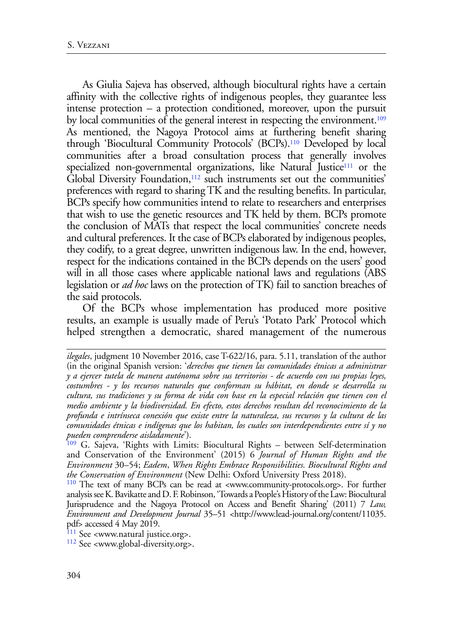<span id="page-25-7"></span><span id="page-25-6"></span><span id="page-25-5"></span><span id="page-25-4"></span>As Giulia Sajeva has observed, although biocultural rights have a certain affinity with the collective rights of indigenous peoples, they guarantee less intense protection – a protection conditioned, moreover, upon the pursuit by local communities of the general interest in respecting the environment.<sup>109</sup> As mentioned, the Nagoya Protocol aims at furthering benefit sharing through 'Biocultural Community Protocols' (BCPs).[110](#page-25-1) Developed by local communities after a broad consultation process that generally involves specialized non-governmental organizations, like Natural Justice<sup>111</sup> or the Global Diversity Foundation,<sup>112</sup> such instruments set out the communities' preferences with regard to sharing TK and the resulting benefits. In particular, BCPs specify how communities intend to relate to researchers and enterprises that wish to use the genetic resources and TK held by them. BCPs promote the conclusion of MATs that respect the local communities' concrete needs and cultural preferences. It the case of BCPs elaborated by indigenous peoples, they codify, to a great degree, unwritten indigenous law. In the end, however, respect for the indications contained in the BCPs depends on the users' good will in all those cases where applicable national laws and regulations (ABS legislation or *ad hoc* laws on the protection of TK) fail to sanction breaches of the said protocols.

Of the BCPs whose implementation has produced more positive results, an example is usually made of Peru's 'Potato Park' Protocol which helped strengthen a democratic, shared management of the numerous

*ilegales*, judgment 10 November 2016, case T-622/16, para. 5.11, translation of the author (in the original Spanish version: '*derechos que tienen las comunidades étnicas a administrar y a ejercer tutela de manera autónoma sobre sus territorios - de acuerdo con sus propias leyes, costumbres - y los recursos naturales que conforman su hábitat, en donde se desarrolla su cultura, sus tradiciones y su forma de vida con base en la especial relación que tienen con el medio ambiente y la biodiversidad. En efecto, estos derechos resultan del reconocimiento de la profunda e intrínseca conexión que existe entre la naturaleza, sus recursos y la cultura de las comunidades étnicas e indígenas que los habitan, los cuales son interdependientes entre sí y no pueden comprenderse aisladamente*').

<span id="page-25-0"></span><sup>&</sup>lt;sup>[109](#page-25-4)</sup> G. Sajeva, 'Rights with Limits: Biocultural Rights – between Self-determination and Conservation of the Environment' (2015) 6 *Journal of Human Rights and the Environment* 30–54; *Eadem*, *When Rights Embrace Responsibilities. Biocultural Rights and the Conservation of Environment* (New Delhi: Oxford University Press 2018).

<span id="page-25-1"></span>[<sup>110</sup>](#page-25-5) The text of many BCPs can be read at <www.community-protocols.org>. For further analysis see K. Bavikatte and D. F. Robinson, 'Towards a People's History of the Law: Biocultural Jurisprudence and the Nagoya Protocol on Access and Benefit Sharing' (2011) 7 *Law, Environment and Development Journal* 35–51 <http://www.lead-journal.org/content/11035. pdf> accessed 4 May 2019.

<span id="page-25-3"></span>

<span id="page-25-2"></span><sup>&</sup>lt;sup>[111](#page-25-6)</sup> See <www.natural justice.org>.<br><sup>[112](#page-25-7)</sup> See <www.global-diversity.org>.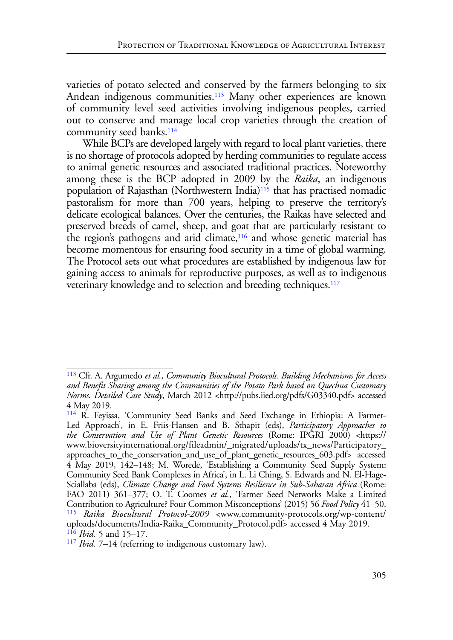<span id="page-26-5"></span>varieties of potato selected and conserved by the farmers belonging to six Andean indigenous communities.<sup>113</sup> Many other experiences are known of community level seed activities involving indigenous peoples, carried out to conserve and manage local crop varieties through the creation of community seed banks.<sup>114</sup>

<span id="page-26-8"></span><span id="page-26-7"></span><span id="page-26-6"></span>While BCPs are developed largely with regard to local plant varieties, there is no shortage of protocols adopted by herding communities to regulate access to animal genetic resources and associated traditional practices. Noteworthy among these is the BCP adopted in 2009 by the *Raika*, an indigenous population of Rajasthan (Northwestern India)<sup>115</sup> that has practised nomadic pastoralism for more than 700 years, helping to preserve the territory's delicate ecological balances. Over the centuries, the Raikas have selected and preserved breeds of camel, sheep, and goat that are particularly resistant to the region's pathogens and arid climate,<sup>116</sup> and whose genetic material has become momentous for ensuring food security in a time of global warming. The Protocol sets out what procedures are established by indigenous law for gaining access to animals for reproductive purposes, as well as to indigenous veterinary knowledge and to selection and breeding techniques[.117](#page-26-4)

<span id="page-26-9"></span><span id="page-26-0"></span>[<sup>113</sup>](#page-26-5) Cfr. A. Argumedo *et al.*, *Community Biocultural Protocols. Building Mechanisms for Access and Benefit Sharing among the Communities of the Potato Park based on Quechua Customary Norms. Detailed Case Study*, March 2012 <http://pubs.iied.org/pdfs/G03340.pdf> accessed 4 May 2019.

<span id="page-26-1"></span>[<sup>114</sup>](#page-26-6) R. Feyissa, 'Community Seed Banks and Seed Exchange in Ethiopia: A Farmer-Led Approach', in E. Friis-Hansen and B. Sthapit (eds), *Participatory Approaches to the Conservation and Use of Plant Genetic Resources* (Rome: IPGRI 2000) <https:// www.bioversityinternational.org/fileadmin/\_migrated/uploads/tx\_news/Participatory\_ approaches\_to\_the\_conservation\_and\_use\_of\_plant\_genetic\_resources\_603.pdf> accessed 4 May 2019, 142–148; M. Worede, 'Establishing a Community Seed Supply System: Community Seed Bank Complexes in Africa', in L. Li Ching, S. Edwards and N. El-Hage-Sciallaba (eds), *Climate Change and Food Systems Resilience in Sub-Saharan Africa* (Rome: FAO 2011) 361–377; O. T. Coomes *et al.*, 'Farmer Seed Networks Make a Limited Contribution to Agriculture? Four Common Misconceptions' (2015) 56 *Food Policy* 41–50. [115](#page-26-7) *Raika Biocultural Protocol-2009* <www.community-protocols.org/wp-content/ uploads/documents/India-Raika\_Community\_Protocol.pdf> accessed 4 May 2019. [116](#page-26-8) *Ibid.* 5 and 15–17.

<span id="page-26-4"></span><span id="page-26-3"></span><span id="page-26-2"></span>[<sup>117</sup>](#page-26-9) *Ibid.* 7–14 (referring to indigenous customary law).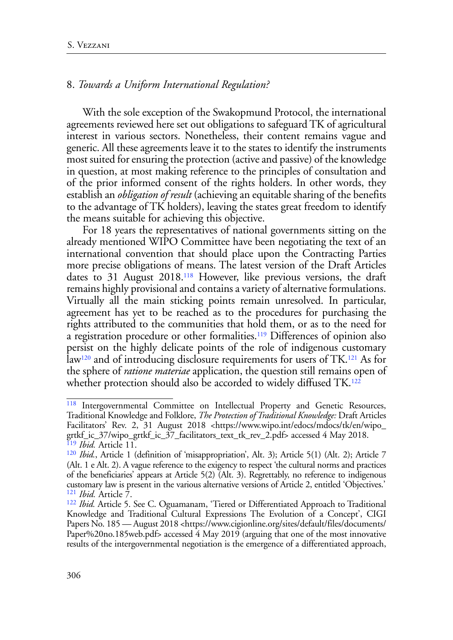#### 8. *Towards a Uniform International Regulation?*

With the sole exception of the Swakopmund Protocol, the international agreements reviewed here set out obligations to safeguard TK of agricultural interest in various sectors. Nonetheless, their content remains vague and generic. All these agreements leave it to the states to identify the instruments most suited for ensuring the protection (active and passive) of the knowledge in question, at most making reference to the principles of consultation and of the prior informed consent of the rights holders. In other words, they establish an *obligation of result* (achieving an equitable sharing of the benefits to the advantage of TK holders), leaving the states great freedom to identify the means suitable for achieving this objective.

<span id="page-27-5"></span>For 18 years the representatives of national governments sitting on the already mentioned WIPO Committee have been negotiating the text of an international convention that should place upon the Contracting Parties more precise obligations of means. The latest version of the Draft Articles dates to 31 August 2018[.118](#page-27-0) However, like previous versions, the draft remains highly provisional and contains a variety of alternative formulations. Virtually all the main sticking points remain unresolved. In particular, agreement has yet to be reached as to the procedures for purchasing the rights attributed to the communities that hold them, or as to the need for a registration procedure or other formalities.[119](#page-27-1) Differences of opinion also persist on the highly delicate points of the role of indigenous customary la[w120](#page-27-2) and of introducing disclosure requirements for users of TK[.121](#page-27-3) As for the sphere of *ratione materiae* application, the question still remains open of whether protection should also be accorded to widely diffused TK.<sup>[122](#page-27-4)</sup>

<span id="page-27-9"></span><span id="page-27-8"></span><span id="page-27-7"></span><span id="page-27-6"></span><span id="page-27-0"></span>[<sup>118</sup>](#page-27-5) Intergovernmental Committee on Intellectual Property and Genetic Resources, Traditional Knowledge and Folklore, *The Protection of Traditional Knowledge:* Draft Articles Facilitators' Rev. 2, 31 August 2018 <https://www.wipo.int/edocs/mdocs/tk/en/wipo\_ grtkf\_ic\_37/wipo\_grtkf\_ic\_37\_facilitators\_text\_tk\_rev\_2.pdf> accessed 4 May 2018. [119](#page-27-6) *Ibid.* Article 11.

<span id="page-27-2"></span><span id="page-27-1"></span>[<sup>120</sup>](#page-27-7) *Ibid.*, Article 1 (definition of 'misappropriation', Alt. 3); Article 5(1) (Alt. 2); Article 7 (Alt. 1 e Alt. 2). A vague reference to the exigency to respect 'the cultural norms and practices of the beneficiaries' appears at Article 5(2) (Alt. 3). Regrettably, no reference to indigenous customary law is present in the various alternative versions of Article 2, entitled 'Objectives.' <sup>[121](#page-27-8)</sup> Ibid. Article 7.<br><sup>[122](#page-27-9)</sup> Ibid. Article 5. See C. Oguamanam, 'Tiered or Differentiated Approach to Traditional

<span id="page-27-4"></span><span id="page-27-3"></span>Knowledge and Traditional Cultural Expressions The Evolution of a Concept', CIGI Papers No. 185 — August 2018 <https://www.cigionline.org/sites/default/files/documents/ Paper%20no.185web.pdf> accessed 4 May 2019 (arguing that one of the most innovative results of the intergovernmental negotiation is the emergence of a differentiated approach,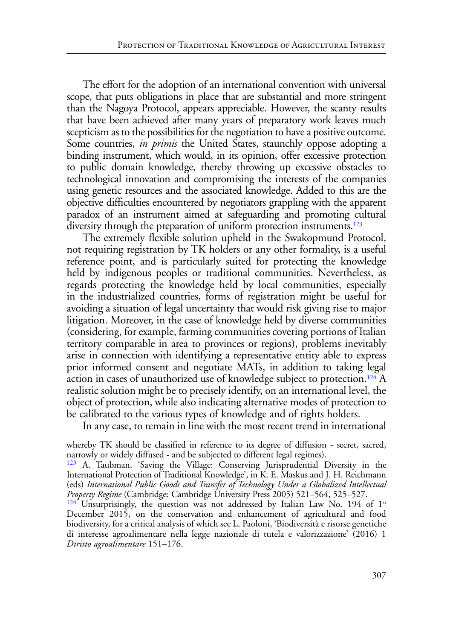The effort for the adoption of an international convention with universal scope, that puts obligations in place that are substantial and more stringent than the Nagoya Protocol, appears appreciable. However, the scanty results that have been achieved after many years of preparatory work leaves much scepticism as to the possibilities for the negotiation to have a positive outcome. Some countries, *in primis* the United States, staunchly oppose adopting a binding instrument, which would, in its opinion, offer excessive protection to public domain knowledge, thereby throwing up excessive obstacles to technological innovation and compromising the interests of the companies using genetic resources and the associated knowledge. Added to this are the objective difficulties encountered by negotiators grappling with the apparent paradox of an instrument aimed at safeguarding and promoting cultural diversity through the preparation of uniform protection instruments.<sup>[123](#page-28-0)</sup>

<span id="page-28-2"></span>The extremely flexible solution upheld in the Swakopmund Protocol, not requiring registration by TK holders or any other formality, is a useful reference point, and is particularly suited for protecting the knowledge held by indigenous peoples or traditional communities. Nevertheless, as regards protecting the knowledge held by local communities, especially in the industrialized countries, forms of registration might be useful for avoiding a situation of legal uncertainty that would risk giving rise to major litigation. Moreover, in the case of knowledge held by diverse communities (considering, for example, farming communities covering portions of Italian territory comparable in area to provinces or regions), problems inevitably arise in connection with identifying a representative entity able to express prior informed consent and negotiate MATs, in addition to taking legal action in cases of unauthorized use of knowledge subject to protection[.124](#page-28-1) A realistic solution might be to precisely identify, on an international level, the object of protection, while also indicating alternative modes of protection to be calibrated to the various types of knowledge and of rights holders.

<span id="page-28-3"></span>In any case, to remain in line with the most recent trend in international

whereby TK should be classified in reference to its degree of diffusion - secret, sacred, narrowly or widely diffused - and be subjected to different legal regimes).

<span id="page-28-0"></span>[<sup>123</sup>](#page-28-2) A. Taubman, 'Saving the Village: Conserving Jurisprudential Diversity in the International Protection of Traditional Knowledge', in K. E. Maskus and J. H. Reichmann (eds) *International Public Goods and Transfer of Technology Under a Globalized Intellectual Property Regime* (Cambridge: Cambridge University Press 2005) 521–564, 525–527.<br><sup>[124](#page-28-3)</sup> Unsurprisingly, the question was not addressed by Italian Law No. 194 of 1<sup>st</sup>

<span id="page-28-1"></span>December 2015, on the conservation and enhancement of agricultural and food biodiversity, for a critical analysis of which see L. Paoloni, 'Biodiversità e risorse genetiche di interesse agroalimentare nella legge nazionale di tutela e valorizzazione' (2016) 1 *Diritto agroalimentare* 151–176.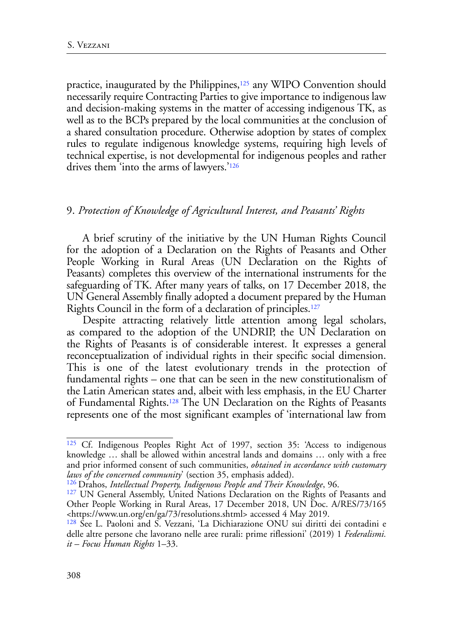<span id="page-29-4"></span>practice, inaugurated by the Philippines, $125$  any WIPO Convention should necessarily require Contracting Parties to give importance to indigenous law and decision-making systems in the matter of accessing indigenous TK, as well as to the BCPs prepared by the local communities at the conclusion of a shared consultation procedure. Otherwise adoption by states of complex rules to regulate indigenous knowledge systems, requiring high levels of technical expertise, is not developmental for indigenous peoples and rather drives them 'into the arms of lawyers.['126](#page-29-1)

#### <span id="page-29-5"></span>9. *Protection of Knowledge of Agricultural Interest, and Peasants' Rights*

A brief scrutiny of the initiative by the UN Human Rights Council for the adoption of a Declaration on the Rights of Peasants and Other People Working in Rural Areas (UN Declaration on the Rights of Peasants) completes this overview of the international instruments for the safeguarding of TK. After many years of talks, on 17 December 2018, the UN General Assembly finally adopted a document prepared by the Human Rights Council in the form of a declaration of principles[.127](#page-29-2)

<span id="page-29-6"></span>Despite attracting relatively little attention among legal scholars, as compared to the adoption of the UNDRIP, the UN Declaration on the Rights of Peasants is of considerable interest. It expresses a general reconceptualization of individual rights in their specific social dimension. This is one of the latest evolutionary trends in the protection of fundamental rights – one that can be seen in the new constitutionalism of the Latin American states and, albeit with less emphasis, in the EU Charter of Fundamental Rights.[128](#page-29-3) The UN Declaration on the Rights of Peasants represents one of the most significant examples of 'international law from

<span id="page-29-7"></span><span id="page-29-0"></span>[<sup>125</sup>](#page-29-4) Cf. Indigenous Peoples Right Act of 1997, section 35: 'Access to indigenous knowledge … shall be allowed within ancestral lands and domains … only with a free and prior informed consent of such communities, *obtained in accordance with customary laws of the concerned community*' (section 35, emphasis added).

<span id="page-29-1"></span>[<sup>126</sup>](#page-29-5) Drahos, *Intellectual Property, Indigenous People and Their Knowledge*, 96.

<span id="page-29-2"></span><sup>&</sup>lt;sup>[127](#page-29-6)</sup> UN General Assembly, United Nations Declaration on the Rights of Peasants and Other People Working in Rural Areas, 17 December 2018, UN Doc. [A/RES/73/165](http://www.un.org/en/ga/search/view_doc.asp?symbol=A/RES/73/165) <<https://www.un.org/en/ga/73/resolutions.shtml>> accessed 4 May 2019.

<span id="page-29-3"></span>[<sup>128</sup>](#page-29-7) See L. Paoloni and S. Vezzani, 'La Dichiarazione ONU sui diritti dei contadini e delle altre persone che lavorano nelle aree rurali: prime riflessioni' (2019) 1 *Federalismi. it – Focus Human Rights* 1–33.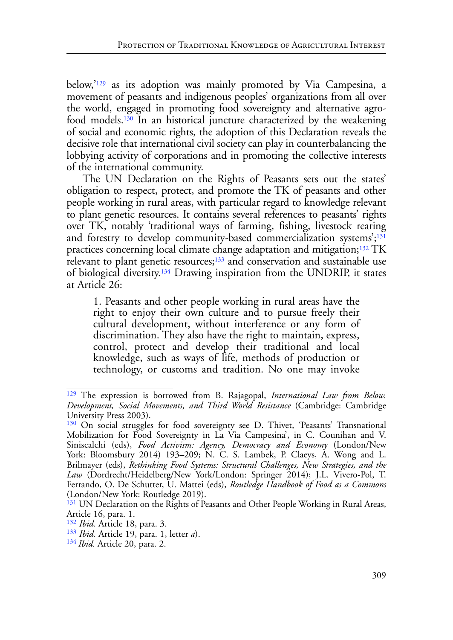<span id="page-30-7"></span><span id="page-30-6"></span>below,['129](#page-30-0) as its adoption was mainly promoted by Via Campesina, a movement of peasants and indigenous peoples' organizations from all over the world, engaged in promoting food sovereignty and alternative agrofood models[.130](#page-30-1) In an historical juncture characterized by the weakening of social and economic rights, the adoption of this Declaration reveals the decisive role that international civil society can play in counterbalancing the lobbying activity of corporations and in promoting the collective interests of the international community.

The UN Declaration on the Rights of Peasants sets out the states' obligation to respect, protect, and promote the TK of peasants and other people working in rural areas, with particular regard to knowledge relevant to plant genetic resources. It contains several references to peasants' rights over TK, notably 'traditional ways of farming, fishing, livestock rearing and forestry to develop community-based commercialization systems';<sup>[131](#page-30-2)</sup> practices concerning local climate change adaptation and mitigation[;132](#page-30-3) TK relevant to plant genetic resources[;133](#page-30-4) and conservation and sustainable use of biological diversity[.134](#page-30-5) Drawing inspiration from the UNDRIP, it states at Article 26:

<span id="page-30-11"></span><span id="page-30-10"></span><span id="page-30-9"></span><span id="page-30-8"></span>1. Peasants and other people working in rural areas have the right to enjoy their own culture and to pursue freely their cultural development, without interference or any form of discrimination. They also have the right to maintain, express, control, protect and develop their traditional and local knowledge, such as ways of life, methods of production or technology, or customs and tradition. No one may invoke

<span id="page-30-0"></span>[<sup>129</sup>](#page-30-6) The expression is borrowed from B. Rajagopal, *International Law from Below. Development, Social Movements, and Third World Resistance* (Cambridge: Cambridge University Press 2003).

<span id="page-30-1"></span><sup>&</sup>lt;sup>[130](#page-30-7)</sup> On social struggles for food sovereignty see D. Thivet, 'Peasants' Transnational Mobilization for Food Sovereignty in La Via Campesina', in C. Counihan and V. Siniscalchi (eds), *Food Activism: Agency, Democracy and Economy* (London/New York: Bloomsbury 2014) 193–209; N. C. S. Lambek, P. Claeys, A. Wong and L. Brilmayer (eds), *Rethinking Food Systems: Structural Challenges, New Strategies, and the Law* (Dordrecht/Heidelberg/New York/London: Springer 2014); J.L. Vivero-Pol, T. Ferrando, O. De Schutter, U. Mattei (eds), *Routledge Handbook of Food as a Commons* (London/New York: Routledge 2019).

<span id="page-30-2"></span><sup>&</sup>lt;sup>[131](#page-30-8)</sup> UN Declaration on the Rights of Peasants and Other People Working in Rural Areas, Article 16, para. 1.

<span id="page-30-3"></span>[<sup>132</sup>](#page-30-9) *Ibid.* Article 18, para. 3.

<span id="page-30-4"></span>[<sup>133</sup>](#page-30-10) *Ibid.* Article 19, para. 1, letter *a*).

<span id="page-30-5"></span>[<sup>134</sup>](#page-30-11) *Ibid.* Article 20, para. 2.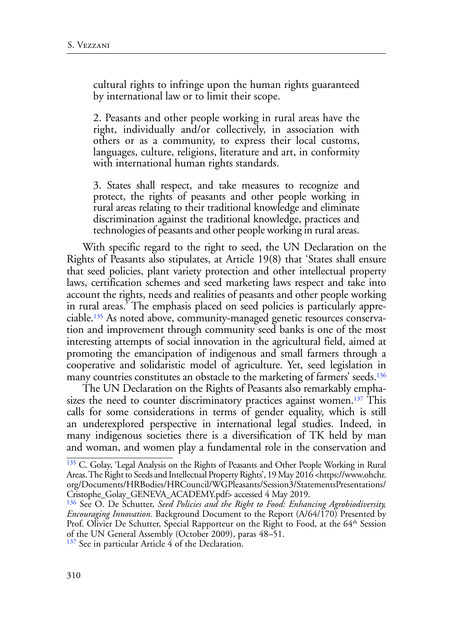cultural rights to infringe upon the human rights guaranteed by international law or to limit their scope.

2. Peasants and other people working in rural areas have the right, individually and/or collectively, in association with others or as a community, to express their local customs, languages, culture, religions, literature and art, in conformity with international human rights standards.

3. States shall respect, and take measures to recognize and protect, the rights of peasants and other people working in rural areas relating to their traditional knowledge and eliminate discrimination against the traditional knowledge, practices and technologies of peasants and other people working in rural areas.

<span id="page-31-3"></span>With specific regard to the right to seed, the UN Declaration on the Rights of Peasants also stipulates, at Article 19(8) that 'States shall ensure that seed policies, plant variety protection and other intellectual property laws, certification schemes and seed marketing laws respect and take into account the rights, needs and realities of peasants and other people working in rural areas.' The emphasis placed on seed policies is particularly appreciable[.135](#page-31-0) As noted above, community-managed genetic resources conservation and improvement through community seed banks is one of the most interesting attempts of social innovation in the agricultural field, aimed at promoting the emancipation of indigenous and small farmers through a cooperative and solidaristic model of agriculture. Yet, seed legislation in many countries constitutes an obstacle to the marketing of farmers' seeds.<sup>[136](#page-31-1)</sup>

<span id="page-31-5"></span><span id="page-31-4"></span>The UN Declaration on the Rights of Peasants also remarkably emphasizes the need to counter discriminatory practices against women.<sup>137</sup> This calls for some considerations in terms of gender equality, which is still an underexplored perspective in international legal studies. Indeed, in many indigenous societies there is a diversification of TK held by man and woman, and women play a fundamental role in the conservation and

<span id="page-31-2"></span><sup>[137](#page-31-5)</sup> See in particular Article 4 of the Declaration.

<span id="page-31-0"></span><sup>&</sup>lt;sup>135</sup> C. Golay, 'Legal Analysis on the Rights of Peasants and Other People Working in Rural Areas. The Right to Seeds and Intellectual Property Rights', 19 May 2016 <https://www.ohchr. org/Documents/HRBodies/HRCouncil/WGPleasants/Session3/StatementsPresentations/ Cristophe\_Golay\_GENEVA\_ACADEMY.pdf> accessed 4 May 2019.

<span id="page-31-1"></span>[<sup>136</sup>](#page-31-4) See O. De Schutter, *Seed Policies and the Right to Food: Enhancing Agrobiodiversity, Encouraging Innovation.* Background Document to the Report (A/64/170) Presented by Prof. Olivier De Schutter, Special Rapporteur on the Right to Food, at the 64<sup>th</sup> Session of the UN General Assembly (October 2009), paras 48–51.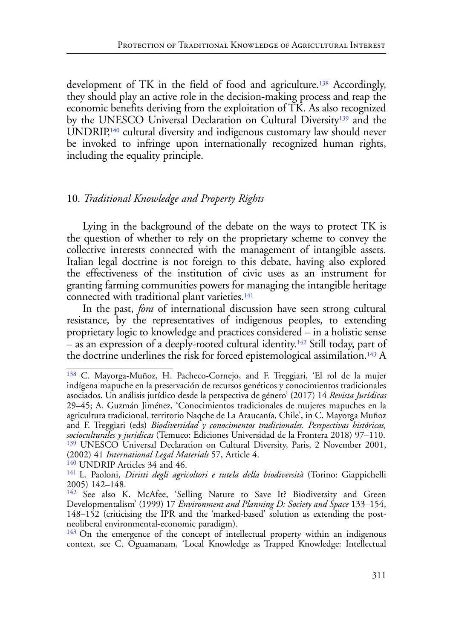<span id="page-32-6"></span><span id="page-32-5"></span>development of TK in the field of food and agriculture.<sup>138</sup> Accordingly, they should play an active role in the decision-making process and reap the economic benefits deriving from the exploitation of TK. As also recognized by the UNESCO Universal Declaration on Cultural Diversity[139](#page-32-1) and the UNDRIP,<sup>140</sup> cultural diversity and indigenous customary law should never be invoked to infringe upon internationally recognized human rights, including the equality principle.

# 10*. Traditional Knowledge and Property Rights*

Lying in the background of the debate on the ways to protect TK is the question of whether to rely on the proprietary scheme to convey the collective interests connected with the management of intangible assets. Italian legal doctrine is not foreign to this debate, having also explored the effectiveness of the institution of civic uses as an instrument for granting farming communities powers for managing the intangible heritage connected with traditional plant varieties.<sup>[141](#page-32-2)</sup>

<span id="page-32-7"></span>In the past, *fora* of international discussion have seen strong cultural resistance, by the representatives of indigenous peoples, to extending proprietary logic to knowledge and practices considered – in a holistic sense  $-$  as an expression of a deeply-rooted cultural identity.<sup>[142](#page-32-3)</sup> Still today, part of the doctrine underlines the risk for forced epistemological assimilation.<sup>143</sup> A

<span id="page-32-9"></span><span id="page-32-8"></span><span id="page-32-0"></span>[<sup>138</sup>](#page-32-5) C. Mayorga-Muñoz, H. Pacheco-Cornejo, and F. Treggiari, 'El rol de la mujer indígena mapuche en la preservación de recursos genéticos y conocimientos tradicionales asociados. Un análisis jurídico desde la perspectiva de género' (2017) 14 *Revista Jurídicas* 29–45; A. Guzmán Jiménez, 'Conocimientos tradicionales de mujeres mapuches en la agricultura tradicional, territorio Naqche de La Araucanía, Chile', in C. Mayorga Muñoz and F. Treggiari (eds) *Biodiversidad y conocimentos tradicionales. Perspectivas históricas, socioculturales y juridicas* (Temuco: Ediciones Universidad de la Frontera 2018) 97–110. <sup>[139](#page-32-6)</sup> UNESCO Universal Declaration on Cultural Diversity, Paris, 2 November 2001, (2002) 41 *International Legal Materials* 57, Article 4.

<span id="page-32-1"></span><sup>&</sup>lt;sup>140</sup> UNDRIP Articles 34 and 46.

<span id="page-32-2"></span>[<sup>141</sup>](#page-32-7) L. Paoloni, *Diritti degli agricoltori e tutela della biodiversità* (Torino: Giappichelli 2005) 142–148.

<span id="page-32-3"></span>[<sup>142</sup>](#page-32-8) See also K. McAfee, 'Selling Nature to Save It? Biodiversity and Green Developmentalism' (1999) 17 *Environment and Planning D: Society and Space* 133–154, 148–152 (criticising the IPR and the 'marked-based' solution as extending the postneoliberal environmental-economic paradigm).

<span id="page-32-4"></span> $143$  On the emergence of the concept of intellectual property within an indigenous context, see C. Oguamanam, 'Local Knowledge as Trapped Knowledge: Intellectual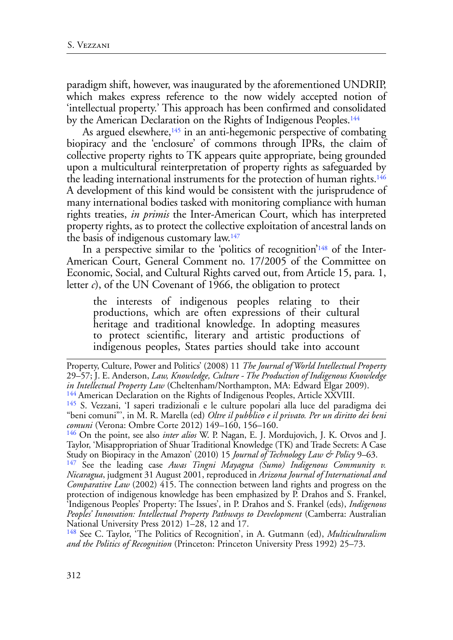paradigm shift, however, was inaugurated by the aforementioned UNDRIP, which makes express reference to the now widely accepted notion of 'intellectual property.' This approach has been confirmed and consolidated by the American Declaration on the Rights of Indigenous Peoples.<sup>[144](#page-33-0)</sup>

<span id="page-33-7"></span><span id="page-33-6"></span><span id="page-33-5"></span>As argued elsewhere, $\frac{145}{10}$  in an anti-hegemonic perspective of combating biopiracy and the 'enclosure' of commons through IPRs, the claim of collective property rights to TK appears quite appropriate, being grounded upon a multicultural reinterpretation of property rights as safeguarded by the leading international instruments for the protection of human rights.<sup>[146](#page-33-2)</sup> A development of this kind would be consistent with the jurisprudence of many international bodies tasked with monitoring compliance with human rights treaties, *in primis* the Inter-American Court, which has interpreted property rights, as to protect the collective exploitation of ancestral lands on the basis of indigenous customary law[.147](#page-33-3)

In a perspective similar to the 'politics of recognition['148](#page-33-4) of the Inter-American Court, General Comment no. 17/2005 of the Committee on Economic, Social, and Cultural Rights carved out, from Article 15, para. 1, letter *c*), of the UN Covenant of 1966, the obligation to protect

<span id="page-33-9"></span><span id="page-33-8"></span>the interests of indigenous peoples relating to their productions, which are often expressions of their cultural heritage and traditional knowledge. In adopting measures to protect scientific, literary and artistic productions of indigenous peoples, States parties should take into account

<span id="page-33-3"></span>[147](#page-33-8) See the leading case *Awas Tingni Mayagna (Sumo) Indigenous Community v. Nicaragua*, judgment 31 August 2001, reproduced in *Arizona Journal of International and Comparative Law* (2002) 415. The connection between land rights and progress on the protection of indigenous knowledge has been emphasized by P. Drahos and S. Frankel, 'Indigenous Peoples' Property: The Issues', in P. Drahos and S. Frankel (eds), *Indigenous Peoples' Innovation: Intellectual Property Pathways to Development* (Camberra: Australian National University Press 2012) 1–28, 12 and 17.

<span id="page-33-4"></span>[148](#page-33-9) See C. Taylor, 'The Politics of Recognition', in A. Gutmann (ed), *Multiculturalism and the Politics of Recognition* (Princeton: Princeton University Press 1992) 25–73.

Property, Culture, Power and Politics' (2008) 11 *The Journal of World Intellectual Property* 29–57; J. E. Anderson, *Law, Knowledge, Culture - The Production of Indigenous Knowledge* 

<span id="page-33-1"></span><span id="page-33-0"></span><sup>&</sup>lt;sup>144</sup> American Declaration on the Rights of Indigenous Peoples, Article XXVIII.<br><sup>[145](#page-33-6)</sup> S. Vezzani, 'I saperi tradizionali e le culture popolari alla luce del paradigma dei "beni comuni"', in M. R. Marella (ed) *Oltre il pubblico e il privato. Per un diritto dei beni comuni* (Verona: Ombre Corte 2012) 149–160, 156–160.

<span id="page-33-2"></span>[<sup>146</sup>](#page-33-7) On the point, see also *inter alios* W. P. Nagan, E. J. Mordujovich, J. K. Otvos and J. Taylor, 'Misappropriation of Shuar Traditional Knowledge (TK) and Trade Secrets: A Case Study on Biopiracy in the Amazon' (2010) 15 *Journal of Technology Law & Policy* 9–63.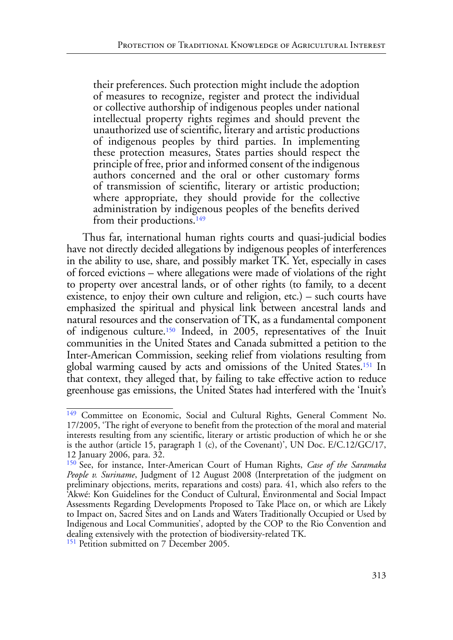their preferences. Such protection might include the adoption of measures to recognize, register and protect the individual or collective authorship of indigenous peoples under national intellectual property rights regimes and should prevent the unauthorized use of scientific, literary and artistic productions of indigenous peoples by third parties. In implementing these protection measures, States parties should respect the principle of free, prior and informed consent of the indigenous authors concerned and the oral or other customary forms of transmission of scientific, literary or artistic production; where appropriate, they should provide for the collective administration by indigenous peoples of the benefits derived from their productions.<sup>149</sup>

<span id="page-34-3"></span>Thus far, international human rights courts and quasi-judicial bodies have not directly decided allegations by indigenous peoples of interferences in the ability to use, share, and possibly market TK. Yet, especially in cases of forced evictions – where allegations were made of violations of the right to property over ancestral lands, or of other rights (to family, to a decent existence, to enjoy their own culture and religion, etc.) – such courts have emphasized the spiritual and physical link between ancestral lands and natural resources and the conservation of TK, as a fundamental component of indigenous culture[.150](#page-34-1) Indeed, in 2005, representatives of the Inuit communities in the United States and Canada submitted a petition to the Inter-American Commission, seeking relief from violations resulting from global warming caused by acts and omissions of the United States[.151](#page-34-2) In that context, they alleged that, by failing to take effective action to reduce greenhouse gas emissions, the United States had interfered with the 'Inuit's

<span id="page-34-5"></span><span id="page-34-4"></span><span id="page-34-0"></span><sup>&</sup>lt;sup>[149](#page-34-3)</sup> Committee on Economic, Social and Cultural Rights, General Comment No. 17/2005, 'The right of everyone to benefit from the protection of the moral and material interests resulting from any scientific, literary or artistic production of which he or she is the author (article 15, paragraph 1 (c), of the Covenant)', UN Doc. E/C.12/GC/17, 12 January 2006, para. 32.

<span id="page-34-1"></span>[<sup>150</sup>](#page-34-4) See, for instance, Inter-American Court of Human Rights, *Case of the Saramaka People v. Suriname*, Judgment of 12 August 2008 (Interpretation of the judgment on preliminary objections, merits, reparations and costs) para. 41, which also refers to the 'Akwé: Kon Guidelines for the Conduct of Cultural, Environmental and Social Impact Assessments Regarding Developments Proposed to Take Place on, or which are Likely to Impact on, Sacred Sites and on Lands and Waters Traditionally Occupied or Used by Indigenous and Local Communities', adopted by the COP to the Rio Convention and dealing extensively with the protection of biodiversity-related TK.

<span id="page-34-2"></span><sup>&</sup>lt;sup>[151](#page-34-5)</sup> Petition submitted on 7 December 2005.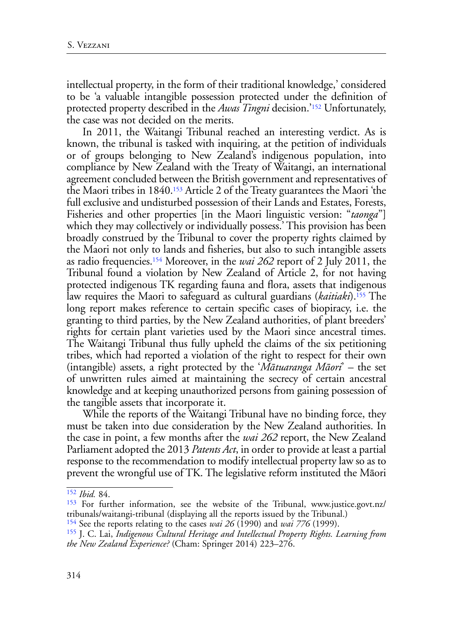<span id="page-35-4"></span>intellectual property, in the form of their traditional knowledge,' considered to be 'a valuable intangible possession protected under the definition of protected property described in the *Awas Tingni* decision.'[152](#page-35-0) Unfortunately, the case was not decided on the merits.

<span id="page-35-6"></span><span id="page-35-5"></span>In 2011, the Waitangi Tribunal reached an interesting verdict. As is known, the tribunal is tasked with inquiring, at the petition of individuals or of groups belonging to New Zealand's indigenous population, into compliance by New Zealand with the Treaty of Waitangi, an international agreement concluded between the British government and representatives of the Maori tribes in 1840[.153](#page-35-1) Article 2 of the Treaty guarantees the Maori 'the full exclusive and undisturbed possession of their Lands and Estates, Forests, Fisheries and other properties [in the Maori linguistic version: "*taonga*"] which they may collectively or individually possess.' This provision has been broadly construed by the Tribunal to cover the property rights claimed by the Maori not only to lands and fisheries, but also to such intangible assets as radio frequencies[.154](#page-35-2) Moreover, in the *wai 262* report of 2 July 2011, the Tribunal found a violation by New Zealand of Article 2, for not having protected indigenous TK regarding fauna and flora, assets that indigenous law requires the Maori to safeguard as cultural guardians (*kaitiaki*)[.155](#page-35-3) The long report makes reference to certain specific cases of biopiracy, i.e. the granting to third parties, by the New Zealand authorities, of plant breeders' rights for certain plant varieties used by the Maori since ancestral times. The Waitangi Tribunal thus fully upheld the claims of the six petitioning tribes, which had reported a violation of the right to respect for their own (intangible) assets, a right protected by the '*Mātuaranga Māori*' – the set of unwritten rules aimed at maintaining the secrecy of certain ancestral knowledge and at keeping unauthorized persons from gaining possession of the tangible assets that incorporate it.

<span id="page-35-7"></span>While the reports of the Waitangi Tribunal have no binding force, they must be taken into due consideration by the New Zealand authorities. In the case in point, a few months after the *wai 262* report, the New Zealand Parliament adopted the 2013 *Patents Act*, in order to provide at least a partial response to the recommendation to modify intellectual property law so as to prevent the wrongful use of TK. The legislative reform instituted the Māori

<span id="page-35-0"></span>[<sup>152</sup>](#page-35-4) *Ibid.* 84.

<span id="page-35-1"></span>[<sup>153</sup>](#page-35-5) For further information, see the website of the Tribunal, www.justice.govt.nz/ tribunals/waitangi-tribunal (displaying all the reports issued by the Tribunal.)

<span id="page-35-2"></span>[<sup>154</sup>](#page-35-6) See the reports relating to the cases *wai 26* (1990) and *wai 776* (1999).

<span id="page-35-3"></span>[<sup>155</sup>](#page-35-7) J. C. Lai, *Indigenous Cultural Heritage and Intellectual Property Rights. Learning from the New Zealand Experience?* (Cham: Springer 2014) 223–276.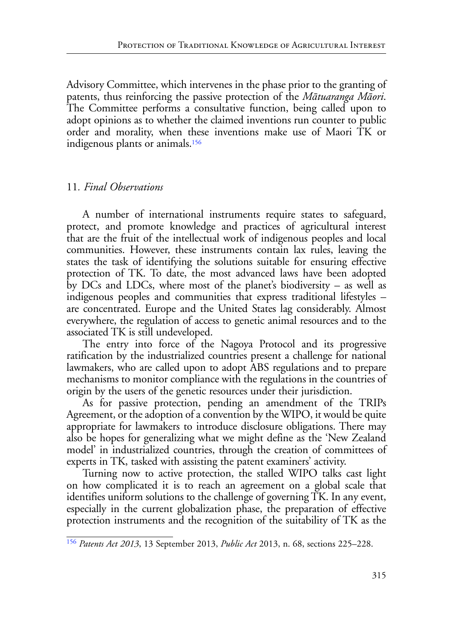Advisory Committee, which intervenes in the phase prior to the granting of patents, thus reinforcing the passive protection of the *Mātuaranga Māori*. The Committee performs a consultative function, being called upon to adopt opinions as to whether the claimed inventions run counter to public order and morality, when these inventions make use of Maori TK or indigenous plants or animals[.156](#page-36-0)

## <span id="page-36-1"></span>11*. Final Observations*

A number of international instruments require states to safeguard, protect, and promote knowledge and practices of agricultural interest that are the fruit of the intellectual work of indigenous peoples and local communities. However, these instruments contain lax rules, leaving the states the task of identifying the solutions suitable for ensuring effective protection of TK. To date, the most advanced laws have been adopted by DCs and LDCs, where most of the planet's biodiversity – as well as indigenous peoples and communities that express traditional lifestyles – are concentrated. Europe and the United States lag considerably. Almost everywhere, the regulation of access to genetic animal resources and to the associated TK is still undeveloped.

The entry into force of the Nagoya Protocol and its progressive ratification by the industrialized countries present a challenge for national lawmakers, who are called upon to adopt ABS regulations and to prepare mechanisms to monitor compliance with the regulations in the countries of origin by the users of the genetic resources under their jurisdiction.

As for passive protection, pending an amendment of the TRIPs Agreement, or the adoption of a convention by the WIPO, it would be quite appropriate for lawmakers to introduce disclosure obligations. There may also be hopes for generalizing what we might define as the 'New Zealand model' in industrialized countries, through the creation of committees of experts in TK, tasked with assisting the patent examiners' activity.

Turning now to active protection, the stalled WIPO talks cast light on how complicated it is to reach an agreement on a global scale that identifies uniform solutions to the challenge of governing TK. In any event, especially in the current globalization phase, the preparation of effective protection instruments and the recognition of the suitability of TK as the

<span id="page-36-0"></span>[<sup>156</sup>](#page-36-1) *Patents Act 2013*, 13 September 2013, *Public Act* 2013, n. 68, sections 225–228.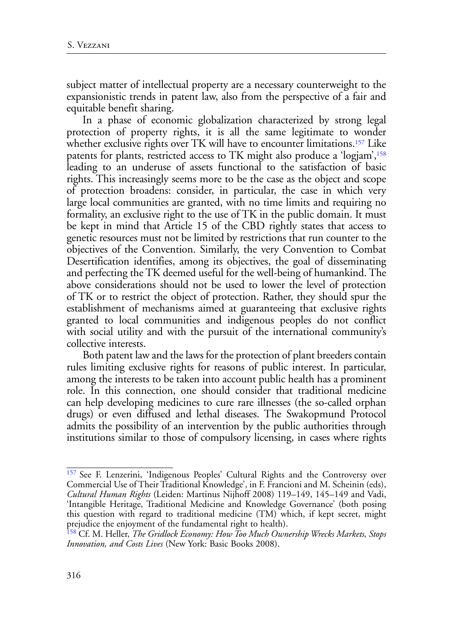subject matter of intellectual property are a necessary counterweight to the expansionistic trends in patent law, also from the perspective of a fair and equitable benefit sharing.

<span id="page-37-3"></span><span id="page-37-2"></span>In a phase of economic globalization characterized by strong legal protection of property rights, it is all the same legitimate to wonder whether exclusive rights over TK will have to encounter limitations.<sup>[157](#page-37-0)</sup> Like patents for plants, restricted access to TK might also produce a 'logjam',<sup>[158](#page-37-1)</sup> leading to an underuse of assets functional to the satisfaction of basic rights. This increasingly seems more to be the case as the object and scope of protection broadens: consider, in particular, the case in which very large local communities are granted, with no time limits and requiring no formality, an exclusive right to the use of TK in the public domain. It must be kept in mind that Article 15 of the CBD rightly states that access to genetic resources must not be limited by restrictions that run counter to the objectives of the Convention. Similarly, the very Convention to Combat Desertification identifies, among its objectives, the goal of disseminating and perfecting the TK deemed useful for the well-being of humankind. The above considerations should not be used to lower the level of protection of TK or to restrict the object of protection. Rather, they should spur the establishment of mechanisms aimed at guaranteeing that exclusive rights granted to local communities and indigenous peoples do not conflict with social utility and with the pursuit of the international community's collective interests.

Both patent law and the laws for the protection of plant breeders contain rules limiting exclusive rights for reasons of public interest. In particular, among the interests to be taken into account public health has a prominent role. In this connection, one should consider that traditional medicine can help developing medicines to cure rare illnesses (the so-called orphan drugs) or even diffused and lethal diseases. The Swakopmund Protocol admits the possibility of an intervention by the public authorities through institutions similar to those of compulsory licensing, in cases where rights

<span id="page-37-0"></span>[<sup>157</sup> S](#page-37-2)ee F. Lenzerini, 'Indigenous Peoples' Cultural Rights and the Controversy over Commercial Use of Their Traditional Knowledge', in F. Francioni and M. Scheinin (eds), *Cultural Human Rights* (Leiden: Martinus Nijhoff 2008) 119–149, 145–149 and Vadi, 'Intangible Heritage, Traditional Medicine and Knowledge Governance' (both posing this question with regard to traditional medicine (TM) which, if kept secret, might prejudice the enjoyment of the fundamental right to health).

<span id="page-37-1"></span>[<sup>158</sup>](#page-37-3) Cf. M. Heller, *The Gridlock Economy: How Too Much Ownership Wrecks Markets, Stops Innovation, and Costs Lives* (New York: Basic Books 2008).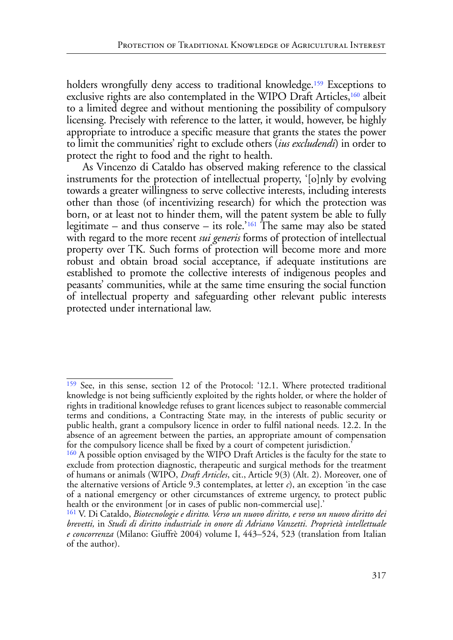<span id="page-38-4"></span><span id="page-38-3"></span>holders wrongfully deny access to traditional knowledge.<sup>[159](#page-38-0)</sup> Exceptions to exclusive rights are also contemplated in the WIPO Draft Articles,<sup>[160](#page-38-1)</sup> albeit to a limited degree and without mentioning the possibility of compulsory licensing. Precisely with reference to the latter, it would, however, be highly appropriate to introduce a specific measure that grants the states the power to limit the communities' right to exclude others (*ius excludendi*) in order to protect the right to food and the right to health.

<span id="page-38-5"></span>As Vincenzo di Cataldo has observed making reference to the classical instruments for the protection of intellectual property, '[o]nly by evolving towards a greater willingness to serve collective interests, including interests other than those (of incentivizing research) for which the protection was born, or at least not to hinder them, will the patent system be able to fully legitimate – and thus conserve – its role.<sup>'[161](#page-38-2)</sup> The same may also be stated with regard to the more recent *sui generis* forms of protection of intellectual property over TK. Such forms of protection will become more and more robust and obtain broad social acceptance, if adequate institutions are established to promote the collective interests of indigenous peoples and peasants' communities, while at the same time ensuring the social function of intellectual property and safeguarding other relevant public interests protected under international law.

<span id="page-38-0"></span>[<sup>159</sup>](#page-38-3) See, in this sense, section 12 of the Protocol: '12.1. Where protected traditional knowledge is not being sufficiently exploited by the rights holder, or where the holder of rights in traditional knowledge refuses to grant licences subject to reasonable commercial terms and conditions, a Contracting State may, in the interests of public security or public health, grant a compulsory licence in order to fulfil national needs. 12.2. In the absence of an agreement between the parties, an appropriate amount of compensation for the compulsory licence shall be fixed by a court of competent jurisdiction.'

<span id="page-38-1"></span><sup>&</sup>lt;sup>[160](#page-38-4)</sup> A possible option envisaged by the WIPO Draft Articles is the faculty for the state to exclude from protection diagnostic, therapeutic and surgical methods for the treatment of humans or animals (WIPO, *Draft Articles*, cit., Article 9(3) (Alt. 2). Moreover, one of the alternative versions of Article 9.3 contemplates, at letter  $c$ ), an exception 'in the case of a national emergency or other circumstances of extreme urgency, to protect public health or the environment [or in cases of public non-commercial use].'

<span id="page-38-2"></span>[<sup>161</sup>](#page-38-5) V. Di Cataldo, *Biotecnologie e diritto. Verso un nuovo diritto, e verso un nuovo diritto dei brevetti,* in *Studi di diritto industriale in onore di Adriano Vanzetti. Proprietà intellettuale e concorrenza* (Milano: Giuffrè 2004) volume I, 443–524, 523 (translation from Italian of the author).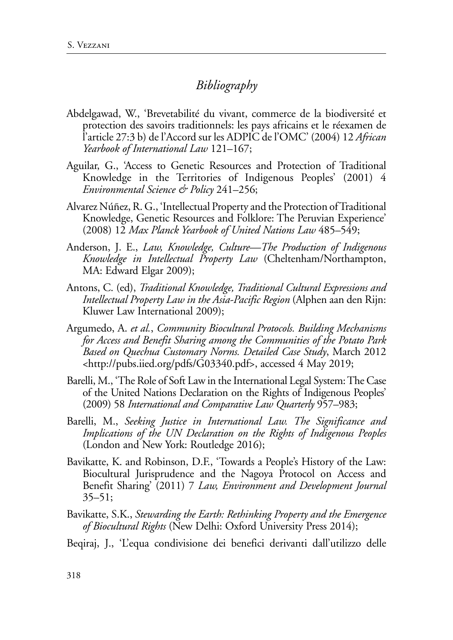# *Bibliography*

- Abdelgawad, W., 'Brevetabilité du vivant, commerce de la biodiversité et protection des savoirs traditionnels: les pays africains et le réexamen de l'article 27:3 b) de l'Accord sur les ADPIC de l'OMC' (2004) 12 *African Yearbook of International Law* 121–167;
- Aguilar, G., 'Access to Genetic Resources and Protection of Traditional Knowledge in the Territories of Indigenous Peoples' (2001) 4 *Environmental Science & Policy* 241–256;
- Alvarez Núñez, R. G., 'Intellectual Property and the Protection of Traditional Knowledge, Genetic Resources and Folklore: The Peruvian Experience' (2008) 12 *Max Planck Yearbook of United Nations Law* 485–549;
- Anderson, J. E., *Law, Knowledge, Culture—The Production of Indigenous Knowledge in Intellectual Property Law* (Cheltenham/Northampton, MA: Edward Elgar 2009);
- Antons, C. (ed), *Traditional Knowledge, Traditional Cultural Expressions and Intellectual Property Law in the Asia-Pacific Region* (Alphen aan den Rijn: Kluwer Law International 2009);
- Argumedo, A. *et al.*, *Community Biocultural Protocols. Building Mechanisms for Access and Benefit Sharing among the Communities of the Potato Park Based on Quechua Customary Norms. Detailed Case Study*, March 2012 <http://pubs.iied.org/pdfs/G03340.pdf>, accessed 4 May 2019;
- Barelli, M., 'The Role of Soft Law in the International Legal System: The Case of the United Nations Declaration on the Rights of Indigenous Peoples' (2009) 58 *International and Comparative Law Quarterly* 957–983;
- Barelli, M., *Seeking Justice in International Law. The Significance and Implications of the UN Declaration on the Rights of Indigenous Peoples* (London and New York: Routledge 2016);
- Bavikatte, K. and Robinson, D.F., 'Towards a People's History of the Law: Biocultural Jurisprudence and the Nagoya Protocol on Access and Benefit Sharing' (2011) 7 *Law, Environment and Development Journal* 35–51;
- Bavikatte, S.K., *Stewarding the Earth: Rethinking Property and the Emergence of Biocultural Rights* (New Delhi: Oxford University Press 2014);
- Beqiraj, J., 'L'equa condivisione dei benefici derivanti dall'utilizzo delle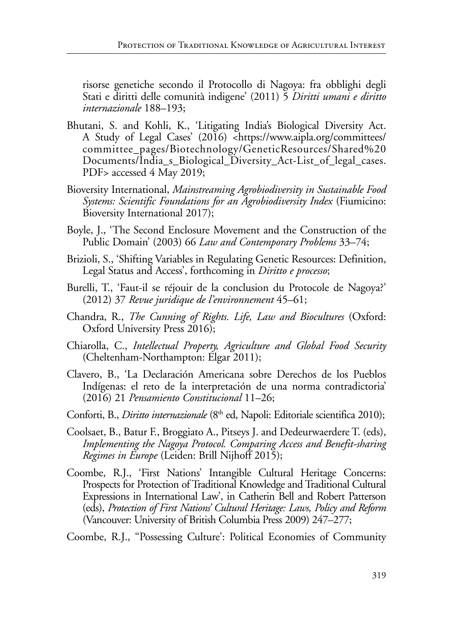risorse genetiche secondo il Protocollo di Nagoya: fra obblighi degli Stati e diritti delle comunità indigene' (2011) 5 *Diritti umani e diritto internazionale* 188–193;

- Bhutani, S. and Kohli, K., 'Litigating India's Biological Diversity Act. A Study of Legal Cases' (2016) <https://www.aipla.org/committees/ committee\_pages/Biotechnology/GeneticResources/Shared%20 Documents/India\_s\_Biological\_Diversity\_Act-List\_of\_legal\_cases. PDF> accessed 4 May 2019;
- Bioversity International, *Mainstreaming Agrobiodiversity in Sustainable Food Systems: Scientific Foundations for an Agrobiodiversity Index* (Fiumicino: Bioversity International 2017);
- Boyle, J., 'The Second Enclosure Movement and the Construction of the Public Domain' (2003) 66 *Law and Contemporary Problems* 33–74;
- Brizioli, S., 'Shifting Variables in Regulating Genetic Resources: Definition, Legal Status and Access', forthcoming in *Diritto e processo*;
- Burelli, T., 'Faut-il se réjouir de la conclusion du Protocole de Nagoya?' (2012) 37 *Revue juridique de l'environnement* 45–61;
- Chandra, R., *The Cunning of Rights. Life, Law and Biocultures* (Oxford: Oxford University Press 2016);
- Chiarolla, C., *Intellectual Property, Agriculture and Global Food Security* (Cheltenham-Northampton: Elgar 2011);
- Clavero, B., 'La Declaración Americana sobre Derechos de los Pueblos Indígenas: el reto de la interpretación de una norma contradictoria' (2016) 21 *Pensamiento Constitucional* 11–26;
- Conforti, B., *Diritto internazionale* (8<sup>th</sup> ed, Napoli: Editoriale scientifica 2010);
- Coolsaet, B., Batur F., Broggiato A., Pitseys J. and Dedeurwaerdere T. (eds), *Implementing the Nagoya Protocol. Comparing Access and Benefit-sharing Regimes in Europe* (Leiden: Brill Nijhoff 2015);
- Coombe, R.J., 'First Nations' Intangible Cultural Heritage Concerns: Prospects for Protection of Traditional Knowledge and Traditional Cultural Expressions in International Law', in Catherin Bell and Robert Patterson (eds), *Protection of First Nations' Cultural Heritage: Laws, Policy and Reform* (Vancouver: University of British Columbia Press 2009) 247–277;
- Coombe, R.J., ''Possessing Culture': Political Economies of Community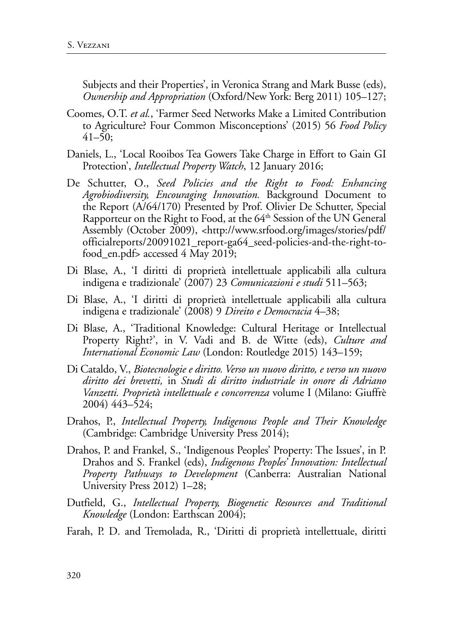Subjects and their Properties', in Veronica Strang and Mark Busse (eds), *Ownership and Appropriation* (Oxford/New York: Berg 2011) 105–127;

- Coomes, O.T. *et al.*, 'Farmer Seed Networks Make a Limited Contribution to Agriculture? Four Common Misconceptions' (2015) 56 *Food Policy*  $41–50;$
- Daniels, L., 'Local Rooibos Tea Gowers Take Charge in Effort to Gain GI Protection', *Intellectual Property Watch*, 12 January 2016;
- De Schutter, O., *Seed Policies and the Right to Food: Enhancing Agrobiodiversity, Encouraging Innovation.* Background Document to the Report (A/64/170) Presented by Prof. Olivier De Schutter, Special Rapporteur on the Right to Food, at the  $64<sup>th</sup>$  Session of the UN General Assembly (October 2009), <http://www.srfood.org/images/stories/pdf/ officialreports/20091021\_report-ga64\_seed-policies-and-the-right-tofood\_en.pdf> accessed 4 May 2019;
- Di Blase, A., 'I diritti di proprietà intellettuale applicabili alla cultura indigena e tradizionale' (2007) 23 *Comunicazioni e studi* 511–563;
- Di Blase, A., 'I diritti di proprietà intellettuale applicabili alla cultura indigena e tradizionale' (2008) 9 *Direito e Democracia* 4–38;
- Di Blase, A., 'Traditional Knowledge: Cultural Heritage or Intellectual Property Right?', in V. Vadi and B. de Witte (eds), *Culture and International Economic Law* (London: Routledge 2015) 143–159;
- Di Cataldo, V., *Biotecnologie e diritto. Verso un nuovo diritto, e verso un nuovo diritto dei brevetti,* in *Studi di diritto industriale in onore di Adriano Vanzetti. Proprietà intellettuale e concorrenza* volume I (Milano: Giuffrè 2004) 443–524;
- Drahos, P., *Intellectual Property, Indigenous People and Their Knowledge* (Cambridge: Cambridge University Press 2014);
- Drahos, P. and Frankel, S., 'Indigenous Peoples' Property: The Issues', in P. Drahos and S. Frankel (eds), *Indigenous Peoples' Innovation: Intellectual Property Pathways to Development* (Canberra: Australian National University Press 2012) 1–28;
- Dutfield, G., *Intellectual Property, Biogenetic Resources and Traditional Knowledge* (London: Earthscan 2004);
- Farah, P. D. and Tremolada, R., 'Diritti di proprietà intellettuale, diritti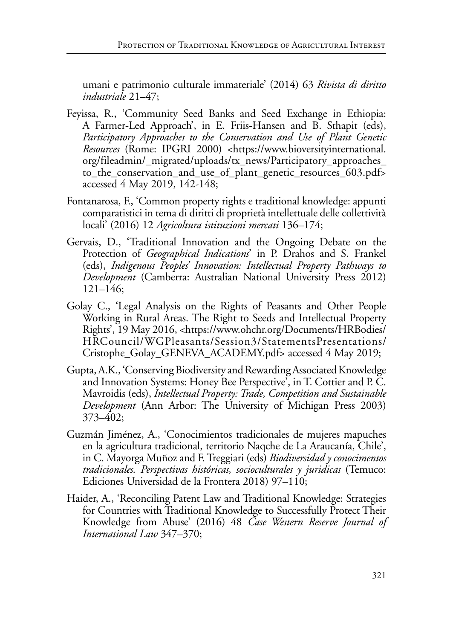umani e patrimonio culturale immateriale' (2014) 63 *Rivista di diritto industriale* 21–47;

- Feyissa, R., 'Community Seed Banks and Seed Exchange in Ethiopia: A Farmer-Led Approach', in E. Friis-Hansen and B. Sthapit (eds), *Participatory Approaches to the Conservation and Use of Plant Genetic Resources* (Rome: IPGRI 2000) <https://www.bioversityinternational. org/fileadmin/\_migrated/uploads/tx\_news/Participatory\_approaches\_ to\_the\_conservation\_and\_use\_of\_plant\_genetic\_resources\_603.pdf> accessed 4 May 2019, 142-148;
- Fontanarosa, F., 'Common property rights e traditional knowledge: appunti comparatistici in tema di diritti di proprietà intellettuale delle collettività locali' (2016) 12 *Agricoltura istituzioni mercati* 136–174;
- Gervais, D., 'Traditional Innovation and the Ongoing Debate on the Protection of *Geographical Indications*' in P. Drahos and S. Frankel (eds), *Indigenous Peoples' Innovation: Intellectual Property Pathways to Development* (Camberra: Australian National University Press 2012) 121–146;
- Golay C., 'Legal Analysis on the Rights of Peasants and Other People Working in Rural Areas. The Right to Seeds and Intellectual Property Rights', 19 May 2016, <https://www.ohchr.org/Documents/HRBodies/ HRCouncil/WGPleasants/Session3/StatementsPresentations/ Cristophe\_Golay\_GENEVA\_ACADEMY.pdf> accessed 4 May 2019;
- Gupta, A.K., 'Conserving Biodiversity and Rewarding Associated Knowledge and Innovation Systems: Honey Bee Perspective', in T. Cottier and P. C. Mavroidis (eds), *Intellectual Property: Trade, Competition and Sustainable Development* (Ann Arbor: The University of Michigan Press 2003) 373–402;
- Guzmán Jiménez, A., 'Conocimientos tradicionales de mujeres mapuches en la agricultura tradicional, territorio Naqche de La Araucanía, Chile', in C. Mayorga Muñoz and F. Treggiari (eds) *Biodiversidad y conocimentos tradicionales. Perspectivas históricas, socioculturales y juridicas* (Temuco: Ediciones Universidad de la Frontera 2018) 97–110;
- Haider, A., 'Reconciling Patent Law and Traditional Knowledge: Strategies for Countries with Traditional Knowledge to Successfully Protect Their Knowledge from Abuse' (2016) 48 *Case Western Reserve Journal of International Law* 347–370;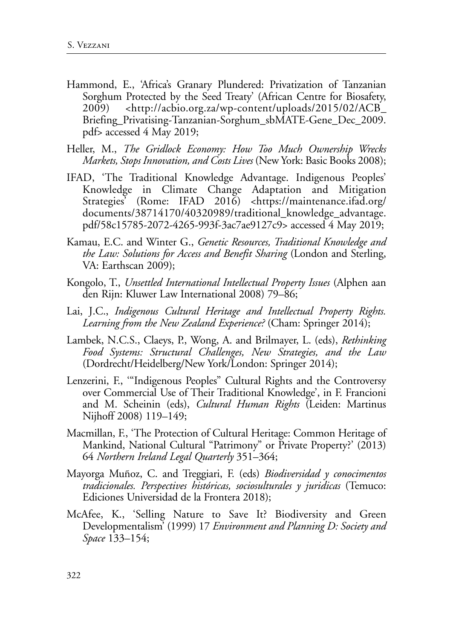- Hammond, E., 'Africa's Granary Plundered: Privatization of Tanzanian Sorghum Protected by the Seed Treaty' (African Centre for Biosafety, 2009) <http://acbio.org.za/wp-content/uploads/2015/02/ACB\_ Briefing\_Privatising-Tanzanian-Sorghum\_sbMATE-Gene\_Dec\_2009. pdf> accessed 4 May 2019;
- Heller, M., *The Gridlock Economy: How Too Much Ownership Wrecks Markets, Stops Innovation, and Costs Lives* (New York: Basic Books 2008);
- IFAD, 'The Traditional Knowledge Advantage. Indigenous Peoples' Knowledge in Climate Change Adaptation and Mitigation Strategies<sup>3</sup> (Rome: IFAD 2016) <https://maintenance.ifad.org/ documents/38714170/40320989/traditional\_knowledge\_advantage. pdf/58c15785-2072-4265-993f-3ac7ae9127c9> accessed 4 May 2019;
- Kamau, E.C. and Winter G., *Genetic Resources, Traditional Knowledge and the Law: Solutions for Access and Benefit Sharing* (London and Sterling, VA: Earthscan 2009);
- Kongolo, T., *Unsettled International Intellectual Property Issues* (Alphen aan den Rijn: Kluwer Law International 2008) 79–86;
- Lai, J.C., *Indigenous Cultural Heritage and Intellectual Property Rights. Learning from the New Zealand Experience?* (Cham: Springer 2014);
- Lambek, N.C.S., Claeys, P., Wong, A. and Brilmayer, L. (eds), *Rethinking Food Systems: Structural Challenges, New Strategies, and the Law* (Dordrecht/Heidelberg/New York/London: Springer 2014);
- Lenzerini, F., '"Indigenous Peoples" Cultural Rights and the Controversy over Commercial Use of Their Traditional Knowledge', in F. Francioni and M. Scheinin (eds), *Cultural Human Rights* (Leiden: Martinus Nijhoff 2008) 119–149;
- Macmillan, F., 'The Protection of Cultural Heritage: Common Heritage of Mankind, National Cultural "Patrimony" or Private Property?' (2013) 64 *Northern Ireland Legal Quarterly* 351–364;
- Mayorga Muñoz, C. and Treggiari, F. (eds) *Biodiversidad y conocimentos tradicionales. Perspectives históricas, sociosulturales y juridicas* (Temuco: Ediciones Universidad de la Frontera 2018);
- McAfee, K., 'Selling Nature to Save It? Biodiversity and Green Developmentalism' (1999) 17 *Environment and Planning D: Society and Space* 133–154;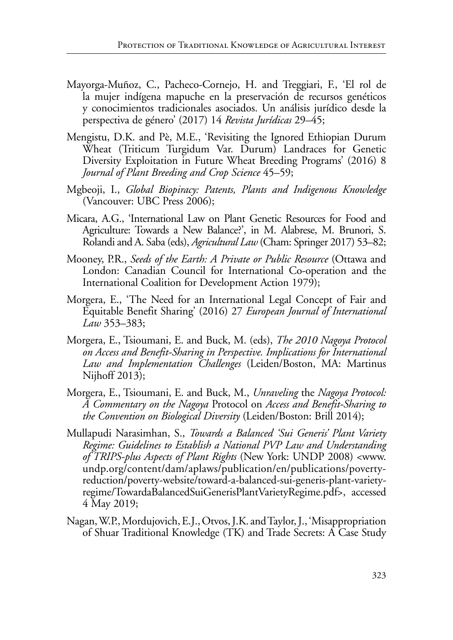- Mayorga-Muñoz, C., Pacheco-Cornejo, H. and Treggiari, F., 'El rol de la mujer indígena mapuche en la preservación de recursos genéticos y conocimientos tradicionales asociados. Un análisis jurídico desde la perspectiva de género' (2017) 14 *Revista Jurídicas* 29–45;
- Mengistu, D.K. and Pè, M.E., 'Revisiting the Ignored Ethiopian Durum Wheat (Triticum Turgidum Var. Durum) Landraces for Genetic Diversity Exploitation in Future Wheat Breeding Programs' (2016) 8 *Journal of Plant Breeding and Crop Science* 45–59;
- Mgbeoji, I., *Global Biopiracy: Patents, Plants and Indigenous Knowledge* (Vancouver: UBC Press 2006);
- Micara, A.G., 'International Law on Plant Genetic Resources for Food and Agriculture: Towards a New Balance?', in M. Alabrese, M. Brunori, S. Rolandi and A. Saba (eds), *Agricultural Law* (Cham: Springer 2017) 53–82;
- Mooney, P.R., *Seeds of the Earth: A Private or Public Resource* (Ottawa and London: Canadian Council for International Co-operation and the International Coalition for Development Action 1979);
- Morgera, E., 'The Need for an International Legal Concept of Fair and Equitable Benefit Sharing' (2016) 27 *European Journal of International Law* 353–383;
- Morgera, E., Tsioumani, E. and Buck, M. (eds), *The 2010 Nagoya Protocol on Access and Benefit-Sharing in Perspective. Implications for International Law and Implementation Challenges* (Leiden/Boston, MA: Martinus Nijhoff 2013);
- Morgera, E., Tsioumani, E. and Buck, M., *Unraveling* the *Nagoya Protocol: A Commentary on the Nagoya* Protocol on *Access and Benefit-Sharing to the Convention on Biological Diversity* (Leiden/Boston: Brill 2014);
- Mullapudi Narasimhan, S., *Towards a Balanced 'Sui Generis' Plant Variety Regime: Guidelines to Establish a National PVP Law and Understanding of TRIPS-plus Aspects of Plant Rights* (New York: UNDP 2008) <[www.](http://www.undp.org/content/dam/aplaws/publication/en/publications/poverty-reduction/poverty-website/toward-a-balanced-sui-generis-plant-variety-regime/TowardaBalancedSuiGenerisPlantVarietyRegime.pdf) [undp.org/content/dam/aplaws/publication/en/publications/poverty](http://www.undp.org/content/dam/aplaws/publication/en/publications/poverty-reduction/poverty-website/toward-a-balanced-sui-generis-plant-variety-regime/TowardaBalancedSuiGenerisPlantVarietyRegime.pdf)[reduction/poverty-website/toward-a-balanced-sui-generis-plant-variety](http://www.undp.org/content/dam/aplaws/publication/en/publications/poverty-reduction/poverty-website/toward-a-balanced-sui-generis-plant-variety-regime/TowardaBalancedSuiGenerisPlantVarietyRegime.pdf)[regime/TowardaBalancedSuiGenerisPlantVarietyRegime.pdf](http://www.undp.org/content/dam/aplaws/publication/en/publications/poverty-reduction/poverty-website/toward-a-balanced-sui-generis-plant-variety-regime/TowardaBalancedSuiGenerisPlantVarietyRegime.pdf)>, accessed 4 May 2019;
- Nagan, W.P., Mordujovich, E.J., Otvos, J.K. and Taylor, J., 'Misappropriation of Shuar Traditional Knowledge (TK) and Trade Secrets: A Case Study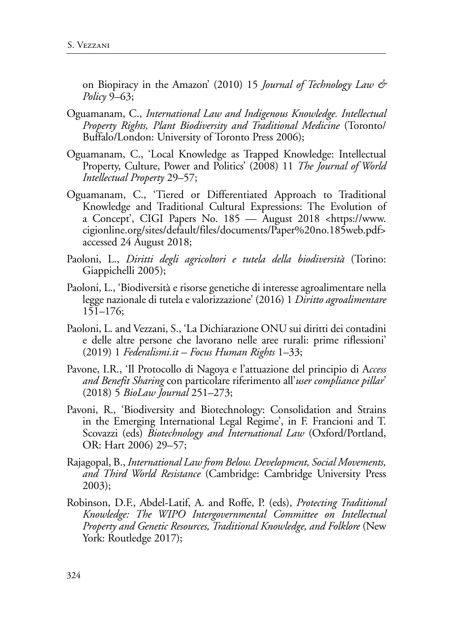on Biopiracy in the Amazon' (2010) 15 *Journal of Technology Law & Policy* 9–63;

- Oguamanam, C., *International Law and Indigenous Knowledge. Intellectual Property Rights, Plant Biodiversity and Traditional Medicine* (Toronto/ Buffalo/London: University of Toronto Press 2006);
- Oguamanam, C., 'Local Knowledge as Trapped Knowledge: Intellectual Property, Culture, Power and Politics' (2008) 11 *The Journal of World Intellectual Property* 29–57;
- Oguamanam, C., 'Tiered or Differentiated Approach to Traditional Knowledge and Traditional Cultural Expressions: The Evolution of a Concept', CIGI Papers No. 185 — August 2018 <https://www. cigionline.org/sites/default/files/documents/Paper%20no.185web.pdf> accessed 24 August 2018;
- Paoloni, L., *Diritti degli agricoltori e tutela della biodiversità* (Torino: Giappichelli 2005);
- Paoloni, L., 'Biodiversità e risorse genetiche di interesse agroalimentare nella legge nazionale di tutela e valorizzazione' (2016) 1 *Diritto agroalimentare* 151–176;
- Paoloni, L. and Vezzani, S., 'La Dichiarazione ONU sui diritti dei contadini e delle altre persone che lavorano nelle aree rurali: prime riflessioni' (2019) 1 *Federalismi.it – Focus Human Rights* 1–33;
- Pavone, I.R., 'Il Protocollo di Nagoya e l'attuazione del principio di A*ccess and Benefit Sharing* con particolare riferimento all'*user compliance pillar*' (2018) 5 *BioLaw Journal* 251–273;
- Pavoni, R., 'Biodiversity and Biotechnology: Consolidation and Strains in the Emerging International Legal Regime', in F. Francioni and T. Scovazzi (eds) *Biotechnology and International Law* (Oxford/Portland, OR: Hart 2006) 29–57;
- Rajagopal, B., *International Law from Below. Development, Social Movements, and Third World Resistance* (Cambridge: Cambridge University Press 2003);
- Robinson, D.F., Abdel-Latif, A. and Roffe, P. (eds), *Protecting Traditional Knowledge: The WIPO Intergovernmental Committee on Intellectual Property and Genetic Resources, Traditional Knowledge, and Folklore* (New York: Routledge 2017);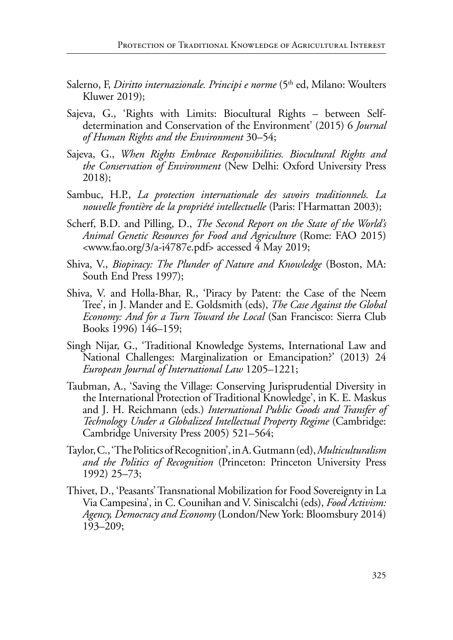- Salerno, F, *Diritto internazionale. Principi e norme* (5<sup>th</sup> ed, Milano: Woulters Kluwer 2019);
- Sajeva, G., 'Rights with Limits: Biocultural Rights between Selfdetermination and Conservation of the Environment' (2015) 6 *Journal of Human Rights and the Environment* 30–54;
- Sajeva, G., *When Rights Embrace Responsibilities. Biocultural Rights and the Conservation of Environment* (New Delhi: Oxford University Press 2018);
- Sambuc, H.P., *La protection internationale des savoirs traditionnels. La nouvelle frontière de la propriété intellectuelle* (Paris: l'Harmattan 2003);
- Scherf, B.D. and Pilling, D., *The Second Report on the State of the World's Animal Genetic Resources for Food and Agriculture* (Rome: FAO 2015) <www.fao.org/3/a-i4787e.pdf> accessed 4 May 2019;
- Shiva, V., *Biopiracy: The Plunder of Nature and Knowledge* (Boston, MA: South End Press 1997);
- Shiva, V. and Holla-Bhar, R., 'Piracy by Patent: the Case of the Neem Tree', in J. Mander and E. Goldsmith (eds), *The Case Against the Global Economy: And for a Turn Toward the Local* (San Francisco: Sierra Club Books 1996) 146–159;
- Singh Nijar, G., 'Traditional Knowledge Systems, International Law and National Challenges: Marginalization or Emancipation?' (2013) 24 *European Journal of International Law* 1205–1221;
- Taubman, A., 'Saving the Village: Conserving Jurisprudential Diversity in the International Protection of Traditional Knowledge', in K. E. Maskus and J. H. Reichmann (eds.) *International Public Goods and Transfer of Technology Under a Globalized Intellectual Property Regime* (Cambridge: Cambridge University Press 2005) 521–564;
- Taylor, C., 'The Politics of Recognition', in A. Gutmann (ed), *Multiculturalism and the Politics of Recognition* (Princeton: Princeton University Press 1992) 25–73;
- Thivet, D., 'Peasants' Transnational Mobilization for Food Sovereignty in La Via Campesina', in C. Counihan and V. Siniscalchi (eds), *Food Activism: Agency, Democracy and Economy* (London/New York: Bloomsbury 2014) 193–209;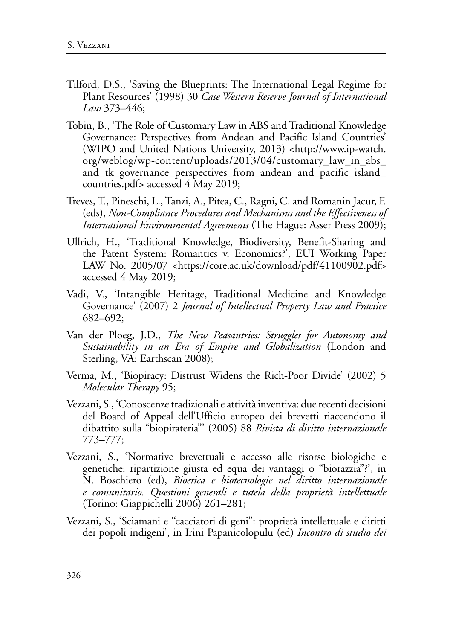- Tilford, D.S., 'Saving the Blueprints: The International Legal Regime for Plant Resources' (1998) 30 *Case Western Reserve Journal of International Law* 373–446;
- Tobin, B., 'The Role of Customary Law in ABS and Traditional Knowledge Governance: Perspectives from Andean and Pacific Island Countries' (WIPO and United Nations University, 2013) <http://www.ip-watch. org/weblog/wp-content/uploads/2013/04/customary\_law\_in\_abs\_ and\_tk\_governance\_perspectives\_from\_andean\_and\_pacific\_island\_ countries.pdf> accessed 4 May 2019;
- Treves, T., Pineschi, L., Tanzi, A., Pitea, C., Ragni, C. and Romanin Jacur, F. (eds), *Non-Compliance Procedures and Mechanisms and the Effectiveness of International Environmental Agreements* (The Hague: Asser Press 2009);
- Ullrich, H., 'Traditional Knowledge, Biodiversity, Benefit-Sharing and the Patent System: Romantics v. Economics?', EUI Working Paper LAW No. 2005/07 <https://core.ac.uk/download/pdf/41100902.pdf> accessed 4 May 2019;
- Vadi, V., 'Intangible Heritage, Traditional Medicine and Knowledge Governance' (2007) 2 *Journal of Intellectual Property Law and Practice* 682–692;
- Van der Ploeg, J.D., *The New Peasantries: Struggles for Autonomy and Sustainability in an Era of Empire and Globalization* (London and Sterling, VA: Earthscan 2008);
- Verma, M., 'Biopiracy: Distrust Widens the Rich-Poor Divide' (2002) 5 *Molecular Therapy* 95;
- Vezzani, S., 'Conoscenze tradizionali e attività inventiva: due recenti decisioni del Board of Appeal dell'Ufficio europeo dei brevetti riaccendono il dibattito sulla "biopirateria"' (2005) 88 *Rivista di diritto internazionale* 773–777;
- Vezzani, S., 'Normative brevettuali e accesso alle risorse biologiche e genetiche: ripartizione giusta ed equa dei vantaggi o "biorazzia"?', in N. Boschiero (ed), *Bioetica e biotecnologie nel diritto internazionale e comunitario. Questioni generali e tutela della proprietà intellettuale* (Torino: Giappichelli 2006) 261–281;
- Vezzani, S., 'Sciamani e "cacciatori di geni": proprietà intellettuale e diritti dei popoli indigeni', in Irini Papanicolopulu (ed) *Incontro di studio dei*